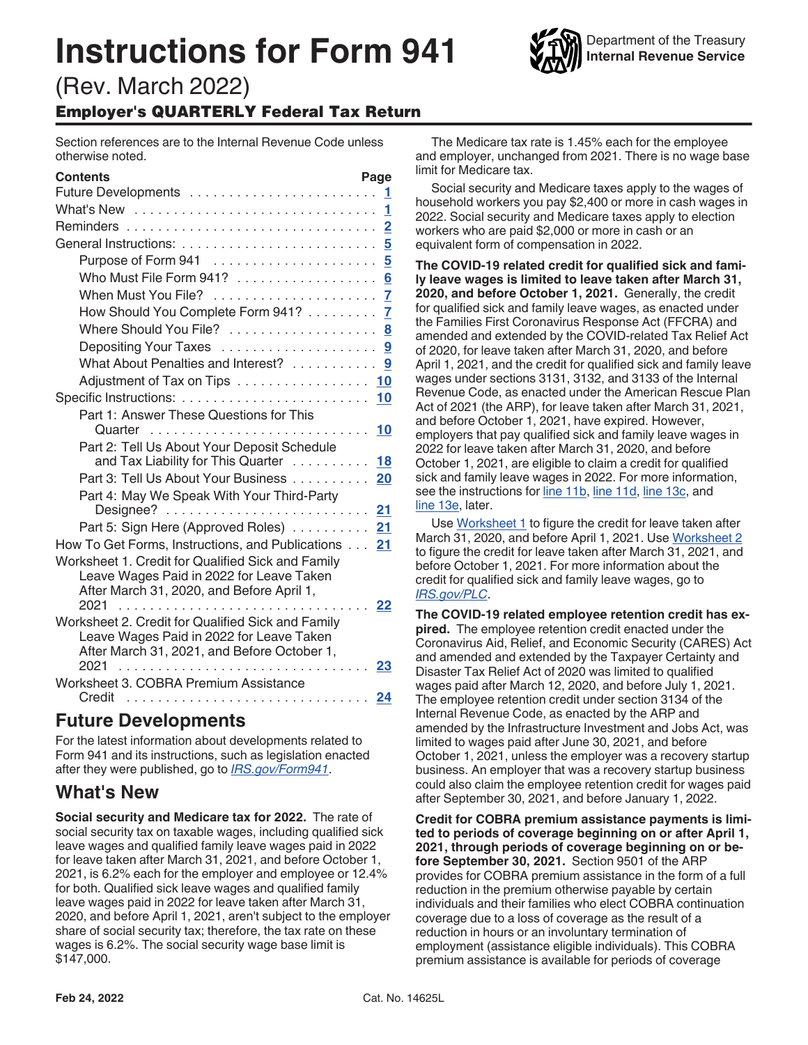# **Instructions for Form 941**



# (Rev. March 2022) Employer's QUARTERLY Federal Tax Return

Section references are to the Internal Revenue Code unless otherwise noted.

| <b>Contents</b>                                                                               | Page           |
|-----------------------------------------------------------------------------------------------|----------------|
|                                                                                               |                |
|                                                                                               |                |
|                                                                                               | $\overline{2}$ |
|                                                                                               |                |
| Purpose of Form 941  5                                                                        |                |
| Who Must File Form 941? 6                                                                     |                |
|                                                                                               |                |
| How Should You Complete Form 941? 7                                                           |                |
| Where Should You File?  8                                                                     |                |
|                                                                                               |                |
| What About Penalties and Interest? 9                                                          |                |
| Adjustment of Tax on Tips 10                                                                  |                |
|                                                                                               |                |
| Part 1: Answer These Questions for This                                                       |                |
| Quarter                                                                                       | 10             |
| Part 2: Tell Us About Your Deposit Schedule                                                   |                |
| and Tax Liability for This Quarter $\ldots \ldots \ldots$                                     | 18             |
| Part 3: Tell Us About Your Business 20                                                        |                |
| Part 4: May We Speak With Your Third-Party                                                    |                |
| Designee?                                                                                     | 21             |
| Part 5: Sign Here (Approved Roles)  21                                                        |                |
| How To Get Forms, Instructions, and Publications                                              | 21             |
| Worksheet 1. Credit for Qualified Sick and Family<br>Leave Wages Paid in 2022 for Leave Taken |                |
| After March 31, 2020, and Before April 1,                                                     |                |
| 2021                                                                                          | 22             |
| Worksheet 2. Credit for Qualified Sick and Family                                             |                |
| Leave Wages Paid in 2022 for Leave Taken                                                      |                |
| After March 31, 2021, and Before October 1,                                                   |                |
| 2021                                                                                          | 23             |
| Worksheet 3. COBRA Premium Assistance<br>Credit                                               | 24             |
|                                                                                               |                |

# **Future Developments**

For the latest information about developments related to Form 941 and its instructions, such as legislation enacted after they were published, go to *[IRS.gov/Form941](https://www.irs.gov/form941)*.

# **What's New**

**Social security and Medicare tax for 2022.** The rate of social security tax on taxable wages, including qualified sick leave wages and qualified family leave wages paid in 2022 for leave taken after March 31, 2021, and before October 1, 2021, is 6.2% each for the employer and employee or 12.4% for both. Qualified sick leave wages and qualified family leave wages paid in 2022 for leave taken after March 31, 2020, and before April 1, 2021, aren't subject to the employer share of social security tax; therefore, the tax rate on these wages is 6.2%. The social security wage base limit is \$147,000.

The Medicare tax rate is 1.45% each for the employee and employer, unchanged from 2021. There is no wage base limit for Medicare tax.

Social security and Medicare taxes apply to the wages of household workers you pay \$2,400 or more in cash wages in 2022. Social security and Medicare taxes apply to election workers who are paid \$2,000 or more in cash or an equivalent form of compensation in 2022.

**The COVID-19 related credit for qualified sick and family leave wages is limited to leave taken after March 31, 2020, and before October 1, 2021.** Generally, the credit for qualified sick and family leave wages, as enacted under the Families First Coronavirus Response Act (FFCRA) and amended and extended by the COVID-related Tax Relief Act of 2020, for leave taken after March 31, 2020, and before April 1, 2021, and the credit for qualified sick and family leave wages under sections 3131, 3132, and 3133 of the Internal Revenue Code, as enacted under the American Rescue Plan Act of 2021 (the ARP), for leave taken after March 31, 2021, and before October 1, 2021, have expired. However, employers that pay qualified sick and family leave wages in 2022 for leave taken after March 31, 2020, and before October 1, 2021, are eligible to claim a credit for qualified sick and family leave wages in 2022. For more information, see the instructions for [line 11b,](#page-13-0) [line 11d,](#page-14-0) [line 13c,](#page-16-0) and [line 13e,](#page-16-0) later.

Use [Worksheet 1](#page-21-0) to figure the credit for leave taken after March 31, 2020, and before April 1, 2021. Use [Worksheet 2](#page-22-0)  to figure the credit for leave taken after March 31, 2021, and before October 1, 2021. For more information about the credit for qualified sick and family leave wages, go to *[IRS.gov/PLC](https://www.irs.gov/plc)*.

**The COVID-19 related employee retention credit has expired.** The employee retention credit enacted under the Coronavirus Aid, Relief, and Economic Security (CARES) Act and amended and extended by the Taxpayer Certainty and Disaster Tax Relief Act of 2020 was limited to qualified wages paid after March 12, 2020, and before July 1, 2021. The employee retention credit under section 3134 of the Internal Revenue Code, as enacted by the ARP and amended by the Infrastructure Investment and Jobs Act, was limited to wages paid after June 30, 2021, and before October 1, 2021, unless the employer was a recovery startup business. An employer that was a recovery startup business could also claim the employee retention credit for wages paid after September 30, 2021, and before January 1, 2022.

**Credit for COBRA premium assistance payments is limited to periods of coverage beginning on or after April 1, 2021, through periods of coverage beginning on or before September 30, 2021.** Section 9501 of the ARP provides for COBRA premium assistance in the form of a full reduction in the premium otherwise payable by certain individuals and their families who elect COBRA continuation coverage due to a loss of coverage as the result of a reduction in hours or an involuntary termination of employment (assistance eligible individuals). This COBRA premium assistance is available for periods of coverage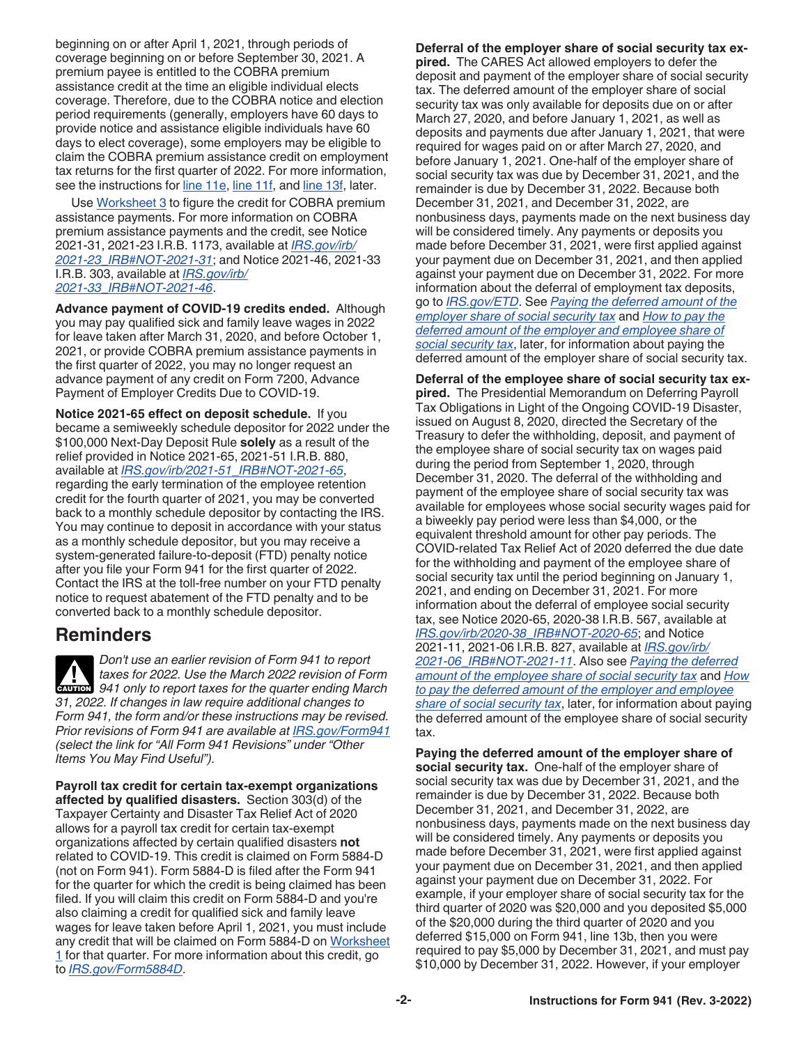<span id="page-1-0"></span>beginning on or after April 1, 2021, through periods of coverage beginning on or before September 30, 2021. A premium payee is entitled to the COBRA premium assistance credit at the time an eligible individual elects coverage. Therefore, due to the COBRA notice and election period requirements (generally, employers have 60 days to provide notice and assistance eligible individuals have 60 days to elect coverage), some employers may be eligible to claim the COBRA premium assistance credit on employment tax returns for the first quarter of 2022. For more information, see the instructions for [line 11e](#page-15-0), [line 11f,](#page-15-0) and [line 13f](#page-16-0), later.

Use [Worksheet 3](#page-23-0) to figure the credit for COBRA premium assistance payments. For more information on COBRA premium assistance payments and the credit, see Notice 2021-31, 2021-23 I.R.B. 1173, available at *[IRS.gov/irb/](https://www.irs.gov/irb/2021-23_IRB#NOT-2021-31) [2021-23\\_IRB#NOT-2021-31](https://www.irs.gov/irb/2021-23_IRB#NOT-2021-31)*; and Notice 2021-46, 2021-33 I.R.B. 303, available at *[IRS.gov/irb/](https://www.irs.gov/irb/2021-33_IRB#NOT-2021-46) [2021-33\\_IRB#NOT-2021-46](https://www.irs.gov/irb/2021-33_IRB#NOT-2021-46)*.

**Advance payment of COVID-19 credits ended.** Although you may pay qualified sick and family leave wages in 2022 for leave taken after March 31, 2020, and before October 1, 2021, or provide COBRA premium assistance payments in the first quarter of 2022, you may no longer request an advance payment of any credit on Form 7200, Advance Payment of Employer Credits Due to COVID-19.

**Notice 2021-65 effect on deposit schedule.** If you became a semiweekly schedule depositor for 2022 under the \$100,000 Next-Day Deposit Rule **solely** as a result of the relief provided in Notice 2021-65, 2021-51 I.R.B. 880, available at *[IRS.gov/irb/2021-51\\_IRB#NOT-2021-65](https://www.irs.gov/irb/2021-51_IRB#NOT-2021-65)*, regarding the early termination of the employee retention credit for the fourth quarter of 2021, you may be converted back to a monthly schedule depositor by contacting the IRS. You may continue to deposit in accordance with your status as a monthly schedule depositor, but you may receive a system-generated failure-to-deposit (FTD) penalty notice after you file your Form 941 for the first quarter of 2022. Contact the IRS at the toll-free number on your FTD penalty notice to request abatement of the FTD penalty and to be converted back to a monthly schedule depositor.

# **Reminders**

*Don't use an earlier revision of Form 941 to report taxes for 2022. Use the March 2022 revision of Form*  **CAUTION** taxes for 2022. Use the March 2022 revision of Form<br> **CAUTION** 941 only to report taxes for the quarter ending March *31, 2022. If changes in law require additional changes to Form 941, the form and/or these instructions may be revised. Prior revisions of Form 941 are available at [IRS.gov/Form941](https://www.irs.gov/form941)  (select the link for "All Form 941 Revisions" under "Other Items You May Find Useful").*

**Payroll tax credit for certain tax-exempt organizations affected by qualified disasters.** Section 303(d) of the Taxpayer Certainty and Disaster Tax Relief Act of 2020 allows for a payroll tax credit for certain tax-exempt organizations affected by certain qualified disasters **not**  related to COVID-19. This credit is claimed on Form 5884-D (not on Form 941). Form 5884-D is filed after the Form 941 for the quarter for which the credit is being claimed has been filed. If you will claim this credit on Form 5884-D and you're also claiming a credit for qualified sick and family leave wages for leave taken before April 1, 2021, you must include any credit that will be claimed on Form 5884-D on Worksheet [1](#page-21-0) for that quarter. For more information about this credit, go to *[IRS.gov/Form5884D](https://www.irs.gov/form5884d)*.

**Deferral of the employer share of social security tax expired.** The CARES Act allowed employers to defer the deposit and payment of the employer share of social security tax. The deferred amount of the employer share of social security tax was only available for deposits due on or after March 27, 2020, and before January 1, 2021, as well as deposits and payments due after January 1, 2021, that were required for wages paid on or after March 27, 2020, and before January 1, 2021. One-half of the employer share of social security tax was due by December 31, 2021, and the remainder is due by December 31, 2022. Because both December 31, 2021, and December 31, 2022, are nonbusiness days, payments made on the next business day will be considered timely. Any payments or deposits you made before December 31, 2021, were first applied against your payment due on December 31, 2021, and then applied against your payment due on December 31, 2022. For more information about the deferral of employment tax deposits, go to *[IRS.gov/ETD](https://www.irs.gov/etd)*. See *Paying the deferred amount of the employer share of social security tax* and *[How to pay the](#page-2-0)  [deferred amount of the employer and employee share of](#page-2-0) [social security tax](#page-2-0)*, later, for information about paying the deferred amount of the employer share of social security tax.

**Deferral of the employee share of social security tax expired.** The Presidential Memorandum on Deferring Payroll Tax Obligations in Light of the Ongoing COVID-19 Disaster, issued on August 8, 2020, directed the Secretary of the Treasury to defer the withholding, deposit, and payment of the employee share of social security tax on wages paid during the period from September 1, 2020, through December 31, 2020. The deferral of the withholding and payment of the employee share of social security tax was available for employees whose social security wages paid for a biweekly pay period were less than \$4,000, or the equivalent threshold amount for other pay periods. The COVID-related Tax Relief Act of 2020 deferred the due date for the withholding and payment of the employee share of social security tax until the period beginning on January 1, 2021, and ending on December 31, 2021. For more information about the deferral of employee social security tax, see Notice 2020-65, 2020-38 I.R.B. 567, available at *[IRS.gov/irb/2020-38\\_IRB#NOT-2020-65](https://www.irs.gov/irb/2020-38_IRB#NOT-2020-65)*; and Notice 2021-11, 2021-06 I.R.B. 827, available at *[IRS.gov/irb/](https://www.irs.gov/irb/2021-06_IRB#NOT-2021-11) [2021-06\\_IRB#NOT-2021-11](https://www.irs.gov/irb/2021-06_IRB#NOT-2021-11)*. Also see *[Paying the deferred](#page-2-0) [amount of the employee share of social security tax](#page-2-0)* and *[How](#page-2-0)  [to pay the deferred amount of the employer and employee](#page-2-0) [share of social security tax](#page-2-0)*, later, for information about paying the deferred amount of the employee share of social security tax.

**Paying the deferred amount of the employer share of social security tax.** One-half of the employer share of social security tax was due by December 31, 2021, and the remainder is due by December 31, 2022. Because both December 31, 2021, and December 31, 2022, are nonbusiness days, payments made on the next business day will be considered timely. Any payments or deposits you made before December 31, 2021, were first applied against your payment due on December 31, 2021, and then applied against your payment due on December 31, 2022. For example, if your employer share of social security tax for the third quarter of 2020 was \$20,000 and you deposited \$5,000 of the \$20,000 during the third quarter of 2020 and you deferred \$15,000 on Form 941, line 13b, then you were required to pay \$5,000 by December 31, 2021, and must pay \$10,000 by December 31, 2022. However, if your employer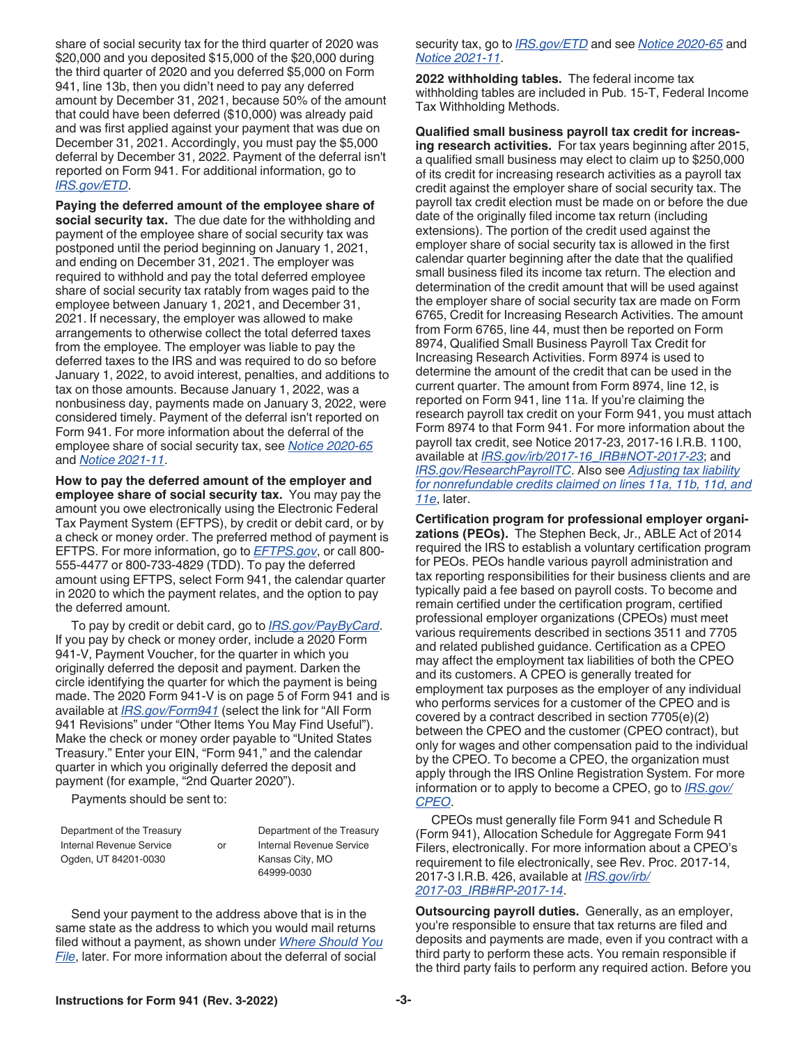<span id="page-2-0"></span>share of social security tax for the third quarter of 2020 was \$20,000 and you deposited \$15,000 of the \$20,000 during the third quarter of 2020 and you deferred \$5,000 on Form 941, line 13b, then you didn't need to pay any deferred amount by December 31, 2021, because 50% of the amount that could have been deferred (\$10,000) was already paid and was first applied against your payment that was due on December 31, 2021. Accordingly, you must pay the \$5,000 deferral by December 31, 2022. Payment of the deferral isn't reported on Form 941. For additional information, go to *[IRS.gov/ETD](https://www.irs.gov/etd)*.

**Paying the deferred amount of the employee share of social security tax.** The due date for the withholding and payment of the employee share of social security tax was postponed until the period beginning on January 1, 2021, and ending on December 31, 2021. The employer was required to withhold and pay the total deferred employee share of social security tax ratably from wages paid to the employee between January 1, 2021, and December 31, 2021. If necessary, the employer was allowed to make arrangements to otherwise collect the total deferred taxes from the employee. The employer was liable to pay the deferred taxes to the IRS and was required to do so before January 1, 2022, to avoid interest, penalties, and additions to tax on those amounts. Because January 1, 2022, was a nonbusiness day, payments made on January 3, 2022, were considered timely. Payment of the deferral isn't reported on Form 941. For more information about the deferral of the employee share of social security tax, see *[Notice 2020-65](https://www.irs.gov/irb/2020-38_IRB#NOT-2020-65)*  and *[Notice 2021-11](https://www.irs.gov/irb/2021-06_IRB#NOT-2021-11)*.

**How to pay the deferred amount of the employer and employee share of social security tax.** You may pay the amount you owe electronically using the Electronic Federal Tax Payment System (EFTPS), by credit or debit card, or by a check or money order. The preferred method of payment is EFTPS. For more information, go to *[EFTPS.gov](https://www.eftps.gov)*, or call 800- 555-4477 or 800-733-4829 (TDD). To pay the deferred amount using EFTPS, select Form 941, the calendar quarter in 2020 to which the payment relates, and the option to pay the deferred amount.

To pay by credit or debit card, go to *[IRS.gov/PayByCard](https://www.irs.gov/paybycard)*. If you pay by check or money order, include a 2020 Form 941-V, Payment Voucher, for the quarter in which you originally deferred the deposit and payment. Darken the circle identifying the quarter for which the payment is being made. The 2020 Form 941-V is on page 5 of Form 941 and is available at *[IRS.gov/Form941](https://www.irs.gov/form941)* (select the link for "All Form 941 Revisions" under "Other Items You May Find Useful"). Make the check or money order payable to "United States Treasury." Enter your EIN, "Form 941," and the calendar quarter in which you originally deferred the deposit and payment (for example, "2nd Quarter 2020").

Payments should be sent to:

| Department of the Treasury |    |
|----------------------------|----|
| Internal Revenue Service   | or |
| Ogden, UT 84201-0030       |    |

Department of the Treasury Internal Revenue Service Kansas City, MO 64999-0030

Send your payment to the address above that is in the same state as the address to which you would mail returns filed without a payment, as shown under *[Where Should You](#page-7-0) [File](#page-7-0)*, later. For more information about the deferral of social

security tax, go to *[IRS.gov/ETD](https://www.irs.gov/etd)* and see *[Notice 2020-65](https://www.irs.gov/irb/2020-38_IRB#NOT-2020-65)* and *[Notice 2021-11](https://www.irs.gov/irb/2021-06_IRB#NOT-2021-11)*.

**2022 withholding tables.** The federal income tax withholding tables are included in Pub. 15-T, Federal Income Tax Withholding Methods.

**Qualified small business payroll tax credit for increasing research activities.** For tax years beginning after 2015, a qualified small business may elect to claim up to \$250,000 of its credit for increasing research activities as a payroll tax credit against the employer share of social security tax. The payroll tax credit election must be made on or before the due date of the originally filed income tax return (including extensions). The portion of the credit used against the employer share of social security tax is allowed in the first calendar quarter beginning after the date that the qualified small business filed its income tax return. The election and determination of the credit amount that will be used against the employer share of social security tax are made on Form 6765, Credit for Increasing Research Activities. The amount from Form 6765, line 44, must then be reported on Form 8974, Qualified Small Business Payroll Tax Credit for Increasing Research Activities. Form 8974 is used to determine the amount of the credit that can be used in the current quarter. The amount from Form 8974, line 12, is reported on Form 941, line 11a. If you're claiming the research payroll tax credit on your Form 941, you must attach Form 8974 to that Form 941. For more information about the payroll tax credit, see Notice 2017-23, 2017-16 I.R.B. 1100, available at *[IRS.gov/irb/2017-16\\_IRB#NOT-2017-23](https://www.irs.gov/irb/2017-16_IRB#NOT-2017-23)*; and *[IRS.gov/ResearchPayrollTC](https://www.irs.gov/researchpayrolltc)*. Also see *[Adjusting tax liability](#page-18-0)  [for nonrefundable credits claimed on lines 11a, 11b, 11d, and](#page-18-0)  [11e](#page-18-0)*, later.

**Certification program for professional employer organizations (PEOs).** The Stephen Beck, Jr., ABLE Act of 2014 required the IRS to establish a voluntary certification program for PEOs. PEOs handle various payroll administration and tax reporting responsibilities for their business clients and are typically paid a fee based on payroll costs. To become and remain certified under the certification program, certified professional employer organizations (CPEOs) must meet various requirements described in sections 3511 and 7705 and related published guidance. Certification as a CPEO may affect the employment tax liabilities of both the CPEO and its customers. A CPEO is generally treated for employment tax purposes as the employer of any individual who performs services for a customer of the CPEO and is covered by a contract described in section 7705(e)(2) between the CPEO and the customer (CPEO contract), but only for wages and other compensation paid to the individual by the CPEO. To become a CPEO, the organization must apply through the IRS Online Registration System. For more information or to apply to become a CPEO, go to *[IRS.gov/](https://www.irs.gov/cpeo) [CPEO](https://www.irs.gov/cpeo)*.

CPEOs must generally file Form 941 and Schedule R (Form 941), Allocation Schedule for Aggregate Form 941 Filers, electronically. For more information about a CPEO's requirement to file electronically, see Rev. Proc. 2017-14, 2017-3 I.R.B. 426, available at *[IRS.gov/irb/](https://www.irs.gov/irb/2017-03_IRB#RP-2017-14) [2017-03\\_IRB#RP-2017-14](https://www.irs.gov/irb/2017-03_IRB#RP-2017-14)*.

**Outsourcing payroll duties.** Generally, as an employer, you're responsible to ensure that tax returns are filed and deposits and payments are made, even if you contract with a third party to perform these acts. You remain responsible if the third party fails to perform any required action. Before you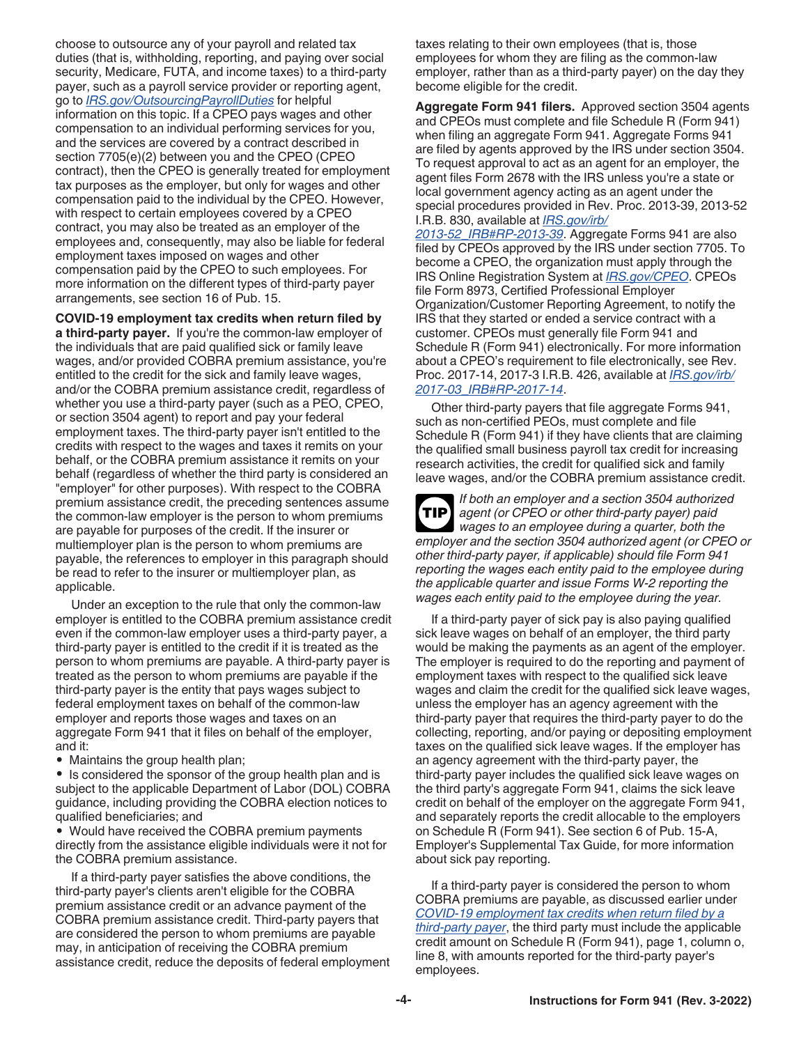choose to outsource any of your payroll and related tax duties (that is, withholding, reporting, and paying over social security, Medicare, FUTA, and income taxes) to a third-party payer, such as a payroll service provider or reporting agent, go to *[IRS.gov/OutsourcingPayrollDuties](https://www.irs.gov/outsourcingpayrollduties)* for helpful information on this topic. If a CPEO pays wages and other compensation to an individual performing services for you, and the services are covered by a contract described in section 7705(e)(2) between you and the CPEO (CPEO contract), then the CPEO is generally treated for employment tax purposes as the employer, but only for wages and other compensation paid to the individual by the CPEO. However, with respect to certain employees covered by a CPEO contract, you may also be treated as an employer of the employees and, consequently, may also be liable for federal employment taxes imposed on wages and other compensation paid by the CPEO to such employees. For more information on the different types of third-party payer arrangements, see section 16 of Pub. 15.

**COVID-19 employment tax credits when return filed by a third-party payer.** If you're the common-law employer of the individuals that are paid qualified sick or family leave wages, and/or provided COBRA premium assistance, you're entitled to the credit for the sick and family leave wages, and/or the COBRA premium assistance credit, regardless of whether you use a third-party payer (such as a PEO, CPEO, or section 3504 agent) to report and pay your federal employment taxes. The third-party payer isn't entitled to the credits with respect to the wages and taxes it remits on your behalf, or the COBRA premium assistance it remits on your behalf (regardless of whether the third party is considered an "employer" for other purposes). With respect to the COBRA premium assistance credit, the preceding sentences assume the common-law employer is the person to whom premiums are payable for purposes of the credit. If the insurer or multiemployer plan is the person to whom premiums are payable, the references to employer in this paragraph should be read to refer to the insurer or multiemployer plan, as applicable.

Under an exception to the rule that only the common-law employer is entitled to the COBRA premium assistance credit even if the common-law employer uses a third-party payer, a third-party payer is entitled to the credit if it is treated as the person to whom premiums are payable. A third-party payer is treated as the person to whom premiums are payable if the third-party payer is the entity that pays wages subject to federal employment taxes on behalf of the common-law employer and reports those wages and taxes on an aggregate Form 941 that it files on behalf of the employer, and it:

• Maintains the group health plan;

• Is considered the sponsor of the group health plan and is subject to the applicable Department of Labor (DOL) COBRA guidance, including providing the COBRA election notices to qualified beneficiaries; and

• Would have received the COBRA premium payments directly from the assistance eligible individuals were it not for the COBRA premium assistance.

If a third-party payer satisfies the above conditions, the third-party payer's clients aren't eligible for the COBRA premium assistance credit or an advance payment of the COBRA premium assistance credit. Third-party payers that are considered the person to whom premiums are payable may, in anticipation of receiving the COBRA premium assistance credit, reduce the deposits of federal employment taxes relating to their own employees (that is, those employees for whom they are filing as the common-law employer, rather than as a third-party payer) on the day they become eligible for the credit.

**Aggregate Form 941 filers.** Approved section 3504 agents and CPEOs must complete and file Schedule R (Form 941) when filing an aggregate Form 941. Aggregate Forms 941 are filed by agents approved by the IRS under section 3504. To request approval to act as an agent for an employer, the agent files Form 2678 with the IRS unless you're a state or local government agency acting as an agent under the special procedures provided in Rev. Proc. 2013-39, 2013-52 I.R.B. 830, available at *[IRS.gov/irb/](https://www.irs.gov/irb/2013-52_IRB#RP-2013-39)*

*[2013-52\\_IRB#RP-2013-39](https://www.irs.gov/irb/2013-52_IRB#RP-2013-39)*. Aggregate Forms 941 are also filed by CPEOs approved by the IRS under section 7705. To become a CPEO, the organization must apply through the IRS Online Registration System at *[IRS.gov/CPEO](https://www.irs.gov/cpeo)*. CPEOs file Form 8973, Certified Professional Employer Organization/Customer Reporting Agreement, to notify the IRS that they started or ended a service contract with a customer. CPEOs must generally file Form 941 and Schedule R (Form 941) electronically. For more information about a CPEO's requirement to file electronically, see Rev. Proc. 2017-14, 2017-3 I.R.B. 426, available at *[IRS.gov/irb/](https://www.irs.gov/irb/2017-03_IRB#RP-2017-14) [2017-03\\_IRB#RP-2017-14](https://www.irs.gov/irb/2017-03_IRB#RP-2017-14)*.

Other third-party payers that file aggregate Forms 941, such as non-certified PEOs, must complete and file Schedule R (Form 941) if they have clients that are claiming the qualified small business payroll tax credit for increasing research activities, the credit for qualified sick and family leave wages, and/or the COBRA premium assistance credit.

*If both an employer and a section 3504 authorized agent (or CPEO or other third-party payer) paid wages to an employee during a quarter, both the employer and the section 3504 authorized agent (or CPEO or other third-party payer, if applicable) should file Form 941 reporting the wages each entity paid to the employee during the applicable quarter and issue Forms W-2 reporting the wages each entity paid to the employee during the year.* **TIP**

If a third-party payer of sick pay is also paying qualified sick leave wages on behalf of an employer, the third party would be making the payments as an agent of the employer. The employer is required to do the reporting and payment of employment taxes with respect to the qualified sick leave wages and claim the credit for the qualified sick leave wages, unless the employer has an agency agreement with the third-party payer that requires the third-party payer to do the collecting, reporting, and/or paying or depositing employment taxes on the qualified sick leave wages. If the employer has an agency agreement with the third-party payer, the third-party payer includes the qualified sick leave wages on the third party's aggregate Form 941, claims the sick leave credit on behalf of the employer on the aggregate Form 941, and separately reports the credit allocable to the employers on Schedule R (Form 941). See section 6 of Pub. 15-A, Employer's Supplemental Tax Guide, for more information about sick pay reporting.

If a third-party payer is considered the person to whom COBRA premiums are payable, as discussed earlier under *COVID-19 employment tax credits when return filed by a third-party payer*, the third party must include the applicable credit amount on Schedule R (Form 941), page 1, column o, line 8, with amounts reported for the third-party payer's employees.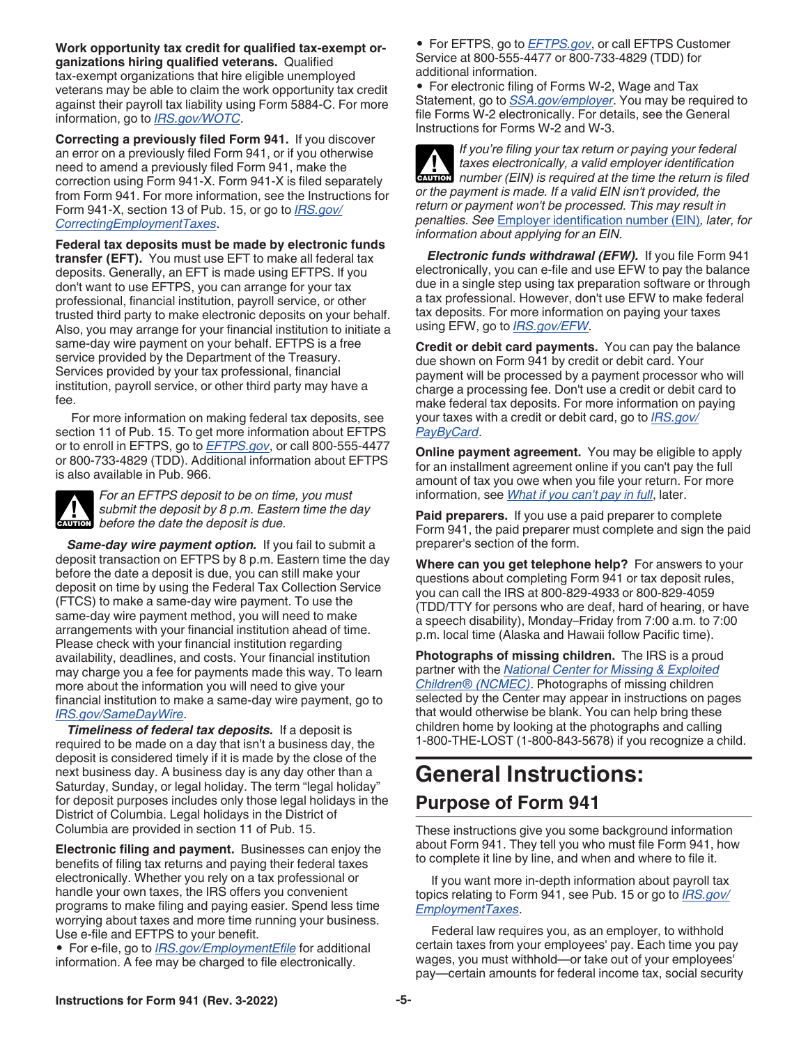<span id="page-4-0"></span>**Work opportunity tax credit for qualified tax-exempt organizations hiring qualified veterans.** Qualified tax-exempt organizations that hire eligible unemployed veterans may be able to claim the work opportunity tax credit against their payroll tax liability using Form 5884-C. For more information, go to *[IRS.gov/WOTC](https://www.irs.gov/wotc)*.

**Correcting a previously filed Form 941.** If you discover an error on a previously filed Form 941, or if you otherwise need to amend a previously filed Form 941, make the correction using Form 941-X. Form 941-X is filed separately from Form 941. For more information, see the Instructions for Form 941-X, section 13 of Pub. 15, or go to *[IRS.gov/](https://www.irs.gov/correctingemploymenttaxes) [CorrectingEmploymentTaxes](https://www.irs.gov/correctingemploymenttaxes)*.

**Federal tax deposits must be made by electronic funds transfer (EFT).** You must use EFT to make all federal tax deposits. Generally, an EFT is made using EFTPS. If you don't want to use EFTPS, you can arrange for your tax professional, financial institution, payroll service, or other trusted third party to make electronic deposits on your behalf. Also, you may arrange for your financial institution to initiate a same-day wire payment on your behalf. EFTPS is a free service provided by the Department of the Treasury. Services provided by your tax professional, financial institution, payroll service, or other third party may have a fee.

For more information on making federal tax deposits, see section 11 of Pub. 15. To get more information about EFTPS or to enroll in EFTPS, go to *[EFTPS.gov](https://www.eftps.gov)*, or call 800-555-4477 or 800-733-4829 (TDD). Additional information about EFTPS is also available in Pub. 966.



*For an EFTPS deposit to be on time, you must submit the deposit by 8 p.m. Eastern time the day*  **c** submit the deposit by 8 p.m. Easte<br>before the date the deposit is due.

Same-day wire payment option. If you fail to submit a deposit transaction on EFTPS by 8 p.m. Eastern time the day before the date a deposit is due, you can still make your deposit on time by using the Federal Tax Collection Service (FTCS) to make a same-day wire payment. To use the same-day wire payment method, you will need to make arrangements with your financial institution ahead of time. Please check with your financial institution regarding availability, deadlines, and costs. Your financial institution may charge you a fee for payments made this way. To learn more about the information you will need to give your financial institution to make a same-day wire payment, go to *[IRS.gov/SameDayWire](https://www.irs.gov/samedaywire)*.

*Timeliness of federal tax deposits.* If a deposit is required to be made on a day that isn't a business day, the deposit is considered timely if it is made by the close of the next business day. A business day is any day other than a Saturday, Sunday, or legal holiday. The term "legal holiday" for deposit purposes includes only those legal holidays in the District of Columbia. Legal holidays in the District of Columbia are provided in section 11 of Pub. 15.

**Electronic filing and payment.** Businesses can enjoy the benefits of filing tax returns and paying their federal taxes electronically. Whether you rely on a tax professional or handle your own taxes, the IRS offers you convenient programs to make filing and paying easier. Spend less time worrying about taxes and more time running your business. Use e-file and EFTPS to your benefit.

• For e-file, go to *[IRS.gov/EmploymentEfile](https://www.irs.gov/employmentefile)* for additional information. A fee may be charged to file electronically.

• For EFTPS, go to *[EFTPS.gov](https://www.eftps.gov)*, or call EFTPS Customer Service at 800-555-4477 or 800-733-4829 (TDD) for additional information.

• For electronic filing of Forms W-2, Wage and Tax Statement, go to *[SSA.gov/employer](https://www.ssa.gov/employer)*. You may be required to file Forms W-2 electronically. For details, see the General Instructions for Forms W-2 and W-3.

*If you're filing your tax return or paying your federal taxes electronically, a valid employer identification*  **z** taxes electronically, a valid employer identification number (EIN) is required at the time the return is filed *or the payment is made. If a valid EIN isn't provided, the return or payment won't be processed. This may result in penalties. See* [Employer identification number \(EIN\)](#page-6-0)*, later, for information about applying for an EIN.*

*Electronic funds withdrawal (EFW).* If you file Form 941 electronically, you can e-file and use EFW to pay the balance due in a single step using tax preparation software or through a tax professional. However, don't use EFW to make federal tax deposits. For more information on paying your taxes using EFW, go to *[IRS.gov/EFW](https://www.irs.gov/efw)*.

**Credit or debit card payments.** You can pay the balance due shown on Form 941 by credit or debit card. Your payment will be processed by a payment processor who will charge a processing fee. Don't use a credit or debit card to make federal tax deposits. For more information on paying your taxes with a credit or debit card, go to *[IRS.gov/](https://www.irs.gov/paybycard) [PayByCard](https://www.irs.gov/paybycard)*.

**Online payment agreement.** You may be eligible to apply for an installment agreement online if you can't pay the full amount of tax you owe when you file your return. For more information, see *[What if you can't pay in full](#page-17-0)*, later.

**Paid preparers.** If you use a paid preparer to complete Form 941, the paid preparer must complete and sign the paid preparer's section of the form.

**Where can you get telephone help?** For answers to your questions about completing Form 941 or tax deposit rules, you can call the IRS at 800-829-4933 or 800-829-4059 (TDD/TTY for persons who are deaf, hard of hearing, or have a speech disability), Monday–Friday from 7:00 a.m. to 7:00 p.m. local time (Alaska and Hawaii follow Pacific time).

**Photographs of missing children.** The IRS is a proud partner with the *[National Center for Missing & Exploited](https://www.missingkids.org) [Children® \(NCMEC\)](https://www.missingkids.org)*. Photographs of missing children selected by the Center may appear in instructions on pages that would otherwise be blank. You can help bring these children home by looking at the photographs and calling 1-800-THE-LOST (1-800-843-5678) if you recognize a child.

# **General Instructions: Purpose of Form 941**

These instructions give you some background information about Form 941. They tell you who must file Form 941, how to complete it line by line, and when and where to file it.

If you want more in-depth information about payroll tax topics relating to Form 941, see Pub. 15 or go to *[IRS.gov/](https://www.irs.gov/employmenttaxes) [EmploymentTaxes](https://www.irs.gov/employmenttaxes)*.

Federal law requires you, as an employer, to withhold certain taxes from your employees' pay. Each time you pay wages, you must withhold—or take out of your employees' pay—certain amounts for federal income tax, social security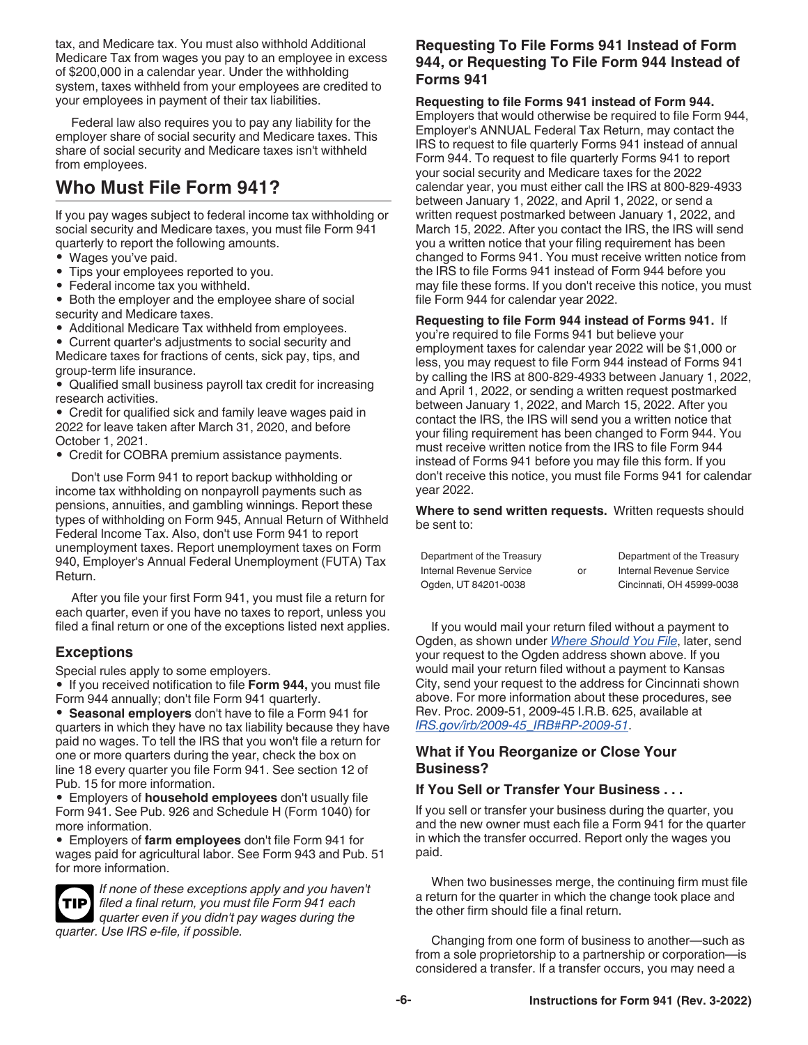<span id="page-5-0"></span>tax, and Medicare tax. You must also withhold Additional Medicare Tax from wages you pay to an employee in excess of \$200,000 in a calendar year. Under the withholding system, taxes withheld from your employees are credited to your employees in payment of their tax liabilities.

Federal law also requires you to pay any liability for the employer share of social security and Medicare taxes. This share of social security and Medicare taxes isn't withheld from employees.

# **Who Must File Form 941?**

If you pay wages subject to federal income tax withholding or social security and Medicare taxes, you must file Form 941 quarterly to report the following amounts.

- Wages you've paid.
- Tips your employees reported to you.
- Federal income tax you withheld.

• Both the employer and the employee share of social security and Medicare taxes.

• Additional Medicare Tax withheld from employees.

• Current quarter's adjustments to social security and Medicare taxes for fractions of cents, sick pay, tips, and group-term life insurance.

• Qualified small business payroll tax credit for increasing research activities.

• Credit for qualified sick and family leave wages paid in 2022 for leave taken after March 31, 2020, and before October 1, 2021.

• Credit for COBRA premium assistance payments.

Don't use Form 941 to report backup withholding or income tax withholding on nonpayroll payments such as pensions, annuities, and gambling winnings. Report these types of withholding on Form 945, Annual Return of Withheld Federal Income Tax. Also, don't use Form 941 to report unemployment taxes. Report unemployment taxes on Form 940, Employer's Annual Federal Unemployment (FUTA) Tax Return.

After you file your first Form 941, you must file a return for each quarter, even if you have no taxes to report, unless you filed a final return or one of the exceptions listed next applies.

## **Exceptions**

Special rules apply to some employers.

• If you received notification to file **Form 944,** you must file Form 944 annually; don't file Form 941 quarterly.

• **Seasonal employers** don't have to file a Form 941 for quarters in which they have no tax liability because they have paid no wages. To tell the IRS that you won't file a return for one or more quarters during the year, check the box on line 18 every quarter you file Form 941. See section 12 of Pub. 15 for more information.

• Employers of **household employees** don't usually file Form 941. See Pub. 926 and Schedule H (Form 1040) for more information.

• Employers of **farm employees** don't file Form 941 for wages paid for agricultural labor. See Form 943 and Pub. 51 for more information.



*If none of these exceptions apply and you haven't filed a final return, you must file Form 941 each*  **TIP** *quarter even if you didn't pay wages during the quarter. Use IRS e-file, if possible.*

#### **Requesting To File Forms 941 Instead of Form 944, or Requesting To File Form 944 Instead of Forms 941**

#### **Requesting to file Forms 941 instead of Form 944.**

Employers that would otherwise be required to file Form 944, Employer's ANNUAL Federal Tax Return, may contact the IRS to request to file quarterly Forms 941 instead of annual Form 944. To request to file quarterly Forms 941 to report your social security and Medicare taxes for the 2022 calendar year, you must either call the IRS at 800-829-4933 between January 1, 2022, and April 1, 2022, or send a written request postmarked between January 1, 2022, and March 15, 2022. After you contact the IRS, the IRS will send you a written notice that your filing requirement has been changed to Forms 941. You must receive written notice from the IRS to file Forms 941 instead of Form 944 before you may file these forms. If you don't receive this notice, you must file Form 944 for calendar year 2022.

**Requesting to file Form 944 instead of Forms 941.** If you're required to file Forms 941 but believe your employment taxes for calendar year 2022 will be \$1,000 or less, you may request to file Form 944 instead of Forms 941 by calling the IRS at 800-829-4933 between January 1, 2022, and April 1, 2022, or sending a written request postmarked between January 1, 2022, and March 15, 2022. After you contact the IRS, the IRS will send you a written notice that your filing requirement has been changed to Form 944. You must receive written notice from the IRS to file Form 944 instead of Forms 941 before you may file this form. If you don't receive this notice, you must file Forms 941 for calendar year 2022.

**Where to send written requests.** Written requests should be sent to:

| Department of the Treasury |    | Department of the Treasury |
|----------------------------|----|----------------------------|
| Internal Revenue Service   | or | Internal Revenue Service   |
| Ogden, UT 84201-0038       |    | Cincinnati, OH 45999-0038  |

If you would mail your return filed without a payment to Ogden, as shown under *[Where Should You File](#page-7-0)*, later, send your request to the Ogden address shown above. If you would mail your return filed without a payment to Kansas City, send your request to the address for Cincinnati shown above. For more information about these procedures, see Rev. Proc. 2009-51, 2009-45 I.R.B. 625, available at *[IRS.gov/irb/2009-45\\_IRB#RP-2009-51](https://www.irs.gov/irb/2009-45_IRB#RP-2009-51)*.

#### **What if You Reorganize or Close Your Business?**

#### **If You Sell or Transfer Your Business . . .**

If you sell or transfer your business during the quarter, you and the new owner must each file a Form 941 for the quarter in which the transfer occurred. Report only the wages you paid.

When two businesses merge, the continuing firm must file a return for the quarter in which the change took place and the other firm should file a final return.

Changing from one form of business to another—such as from a sole proprietorship to a partnership or corporation—is considered a transfer. If a transfer occurs, you may need a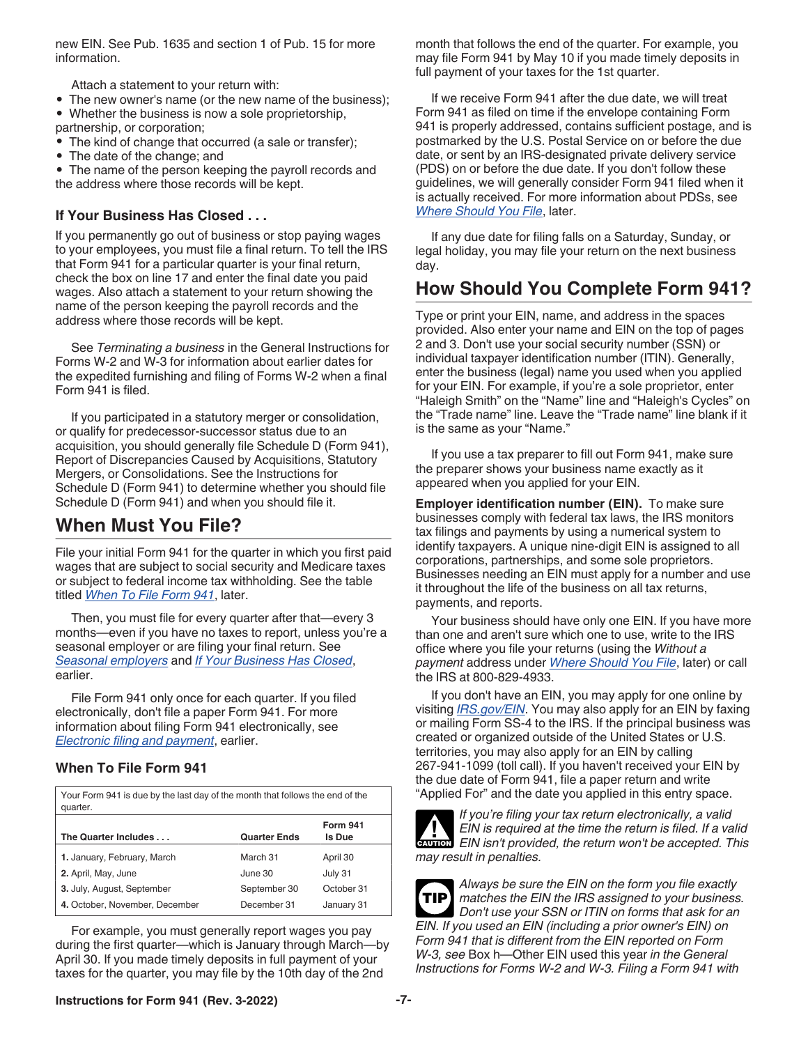<span id="page-6-0"></span>new EIN. See Pub. 1635 and section 1 of Pub. 15 for more information.

Attach a statement to your return with:

- The new owner's name (or the new name of the business);
- Whether the business is now a sole proprietorship,
- partnership, or corporation;
- The kind of change that occurred (a sale or transfer);
- The date of the change; and

• The name of the person keeping the payroll records and the address where those records will be kept.

## **If Your Business Has Closed . . .**

If you permanently go out of business or stop paying wages to your employees, you must file a final return. To tell the IRS that Form 941 for a particular quarter is your final return, check the box on line 17 and enter the final date you paid wages. Also attach a statement to your return showing the name of the person keeping the payroll records and the address where those records will be kept.

See *Terminating a business* in the General Instructions for Forms W-2 and W-3 for information about earlier dates for the expedited furnishing and filing of Forms W-2 when a final Form 941 is filed.

If you participated in a statutory merger or consolidation, or qualify for predecessor-successor status due to an acquisition, you should generally file Schedule D (Form 941), Report of Discrepancies Caused by Acquisitions, Statutory Mergers, or Consolidations. See the Instructions for Schedule D (Form 941) to determine whether you should file Schedule D (Form 941) and when you should file it.

# **When Must You File?**

File your initial Form 941 for the quarter in which you first paid wages that are subject to social security and Medicare taxes or subject to federal income tax withholding. See the table titled *When To File Form 941*, later.

Then, you must file for every quarter after that—every 3 months—even if you have no taxes to report, unless you're a seasonal employer or are filing your final return. See *[Seasonal employers](#page-5-0)* and *If Your Business Has Closed*, earlier.

File Form 941 only once for each quarter. If you filed electronically, don't file a paper Form 941. For more information about filing Form 941 electronically, see *[Electronic filing and payment](#page-4-0)*, earlier.

#### **When To File Form 941**

| Your Form 941 is due by the last day of the month that follows the end of the<br>quarter. |                     |                           |  |  |  |
|-------------------------------------------------------------------------------------------|---------------------|---------------------------|--|--|--|
| The Quarter Includes                                                                      | <b>Quarter Ends</b> | <b>Form 941</b><br>Is Due |  |  |  |
| 1. January, February, March                                                               | March 31            | April 30                  |  |  |  |
| 2. April, May, June                                                                       | June 30             | July 31                   |  |  |  |
| 3. July, August, September                                                                | September 30        | October 31                |  |  |  |
| 4. October, November, December                                                            | December 31         | January 31                |  |  |  |

For example, you must generally report wages you pay during the first quarter—which is January through March—by April 30. If you made timely deposits in full payment of your taxes for the quarter, you may file by the 10th day of the 2nd

month that follows the end of the quarter. For example, you may file Form 941 by May 10 if you made timely deposits in full payment of your taxes for the 1st quarter.

If we receive Form 941 after the due date, we will treat Form 941 as filed on time if the envelope containing Form 941 is properly addressed, contains sufficient postage, and is postmarked by the U.S. Postal Service on or before the due date, or sent by an IRS-designated private delivery service (PDS) on or before the due date. If you don't follow these guidelines, we will generally consider Form 941 filed when it is actually received. For more information about PDSs, see *[Where Should You File](#page-7-0)*, later.

If any due date for filing falls on a Saturday, Sunday, or legal holiday, you may file your return on the next business day.

# **How Should You Complete Form 941?**

Type or print your EIN, name, and address in the spaces provided. Also enter your name and EIN on the top of pages 2 and 3. Don't use your social security number (SSN) or individual taxpayer identification number (ITIN). Generally, enter the business (legal) name you used when you applied for your EIN. For example, if you're a sole proprietor, enter "Haleigh Smith" on the "Name" line and "Haleigh's Cycles" on the "Trade name" line. Leave the "Trade name" line blank if it is the same as your "Name."

If you use a tax preparer to fill out Form 941, make sure the preparer shows your business name exactly as it appeared when you applied for your EIN.

**Employer identification number (EIN).** To make sure businesses comply with federal tax laws, the IRS monitors tax filings and payments by using a numerical system to identify taxpayers. A unique nine-digit EIN is assigned to all corporations, partnerships, and some sole proprietors. Businesses needing an EIN must apply for a number and use it throughout the life of the business on all tax returns, payments, and reports.

Your business should have only one EIN. If you have more than one and aren't sure which one to use, write to the IRS office where you file your returns (using the *Without a payment* address under *[Where Should You File](#page-7-0)*, later) or call the IRS at 800-829-4933.

If you don't have an EIN, you may apply for one online by visiting *[IRS.gov/EIN](https://www.irs.gov/ein)*. You may also apply for an EIN by faxing or mailing Form SS-4 to the IRS. If the principal business was created or organized outside of the United States or U.S. territories, you may also apply for an EIN by calling 267-941-1099 (toll call). If you haven't received your EIN by the due date of Form 941, file a paper return and write "Applied For" and the date you applied in this entry space.



*If you're filing your tax return electronically, a valid EIN is required at the time the return is filed. If a valid*  **EIN** is required at the time the return is filed. If a valid **CAUTION**<br> **CAUTION** EIN isn't provided, the return won't be accepted. This *may result in penalties.*



*matches the EIN the IRS assigned to your business. Don't use your SSN or ITIN on forms that ask for an EIN. If you used an EIN (including a prior owner's EIN) on Form 941 that is different from the EIN reported on Form W-3, see* Box h—Other EIN used this year *in the General Instructions for Forms W-2 and W-3. Filing a Form 941 with*  **TIP**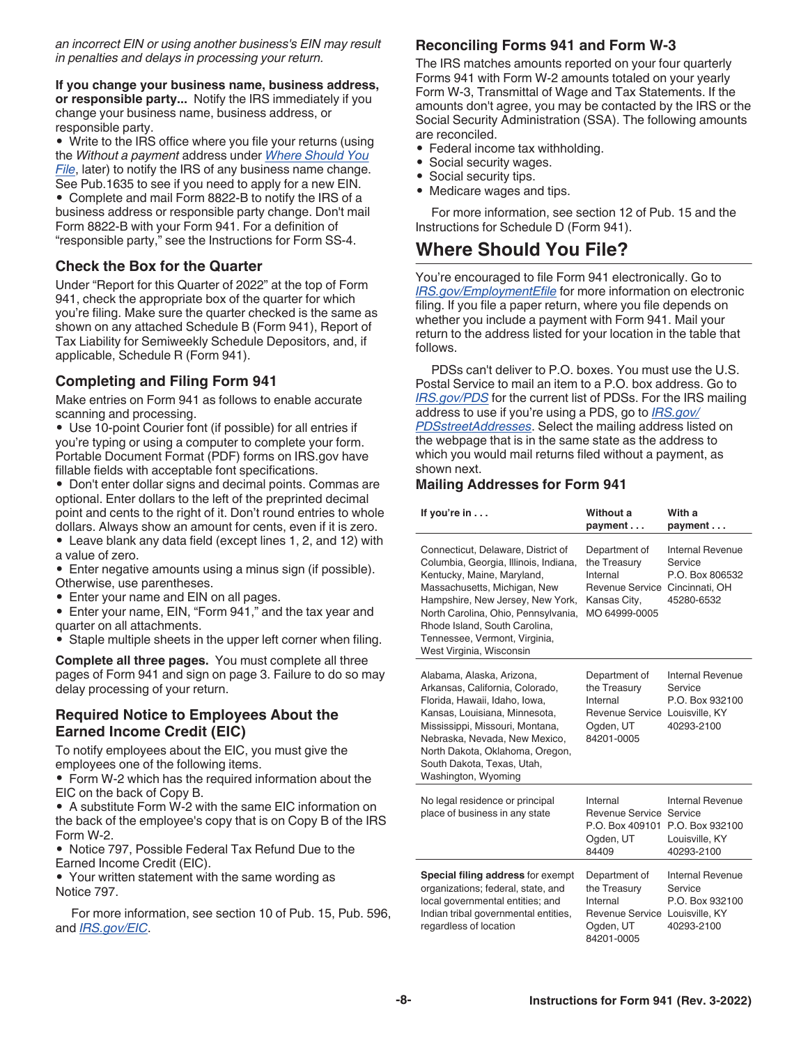<span id="page-7-0"></span>*an incorrect EIN or using another business's EIN may result in penalties and delays in processing your return.*

**If you change your business name, business address, or responsible party...** Notify the IRS immediately if you change your business name, business address, or responsible party.

• Write to the IRS office where you file your returns (using the *Without a payment* address under *Where Should You File*, later) to notify the IRS of any business name change. See Pub.1635 to see if you need to apply for a new EIN.

• Complete and mail Form 8822-B to notify the IRS of a business address or responsible party change. Don't mail Form 8822-B with your Form 941. For a definition of "responsible party," see the Instructions for Form SS-4.

#### **Check the Box for the Quarter**

Under "Report for this Quarter of 2022" at the top of Form 941, check the appropriate box of the quarter for which you're filing. Make sure the quarter checked is the same as shown on any attached Schedule B (Form 941), Report of Tax Liability for Semiweekly Schedule Depositors, and, if applicable, Schedule R (Form 941).

#### **Completing and Filing Form 941**

Make entries on Form 941 as follows to enable accurate scanning and processing.

• Use 10-point Courier font (if possible) for all entries if you're typing or using a computer to complete your form. Portable Document Format (PDF) forms on IRS.gov have fillable fields with acceptable font specifications.

• Don't enter dollar signs and decimal points. Commas are optional. Enter dollars to the left of the preprinted decimal point and cents to the right of it. Don't round entries to whole dollars. Always show an amount for cents, even if it is zero.

- Leave blank any data field (except lines 1, 2, and 12) with a value of zero.
- Enter negative amounts using a minus sign (if possible). Otherwise, use parentheses.
- Enter your name and EIN on all pages.
- Enter your name, EIN, "Form 941," and the tax year and quarter on all attachments.
- Staple multiple sheets in the upper left corner when filing.

**Complete all three pages.** You must complete all three pages of Form 941 and sign on page 3. Failure to do so may delay processing of your return.

#### **Required Notice to Employees About the Earned Income Credit (EIC)**

To notify employees about the EIC, you must give the employees one of the following items.

• Form W-2 which has the required information about the EIC on the back of Copy B.

• A substitute Form W-2 with the same EIC information on the back of the employee's copy that is on Copy B of the IRS Form W-2.

• Notice 797, Possible Federal Tax Refund Due to the Earned Income Credit (EIC).

• Your written statement with the same wording as Notice 797.

For more information, see section 10 of Pub. 15, Pub. 596, and *[IRS.gov/EIC](https://www.irs.gov/eic)*.

### **Reconciling Forms 941 and Form W-3**

The IRS matches amounts reported on your four quarterly Forms 941 with Form W-2 amounts totaled on your yearly Form W-3, Transmittal of Wage and Tax Statements. If the amounts don't agree, you may be contacted by the IRS or the Social Security Administration (SSA). The following amounts are reconciled.

- Federal income tax withholding.
- Social security wages.
- Social security tips.
- Medicare wages and tips.

For more information, see section 12 of Pub. 15 and the Instructions for Schedule D (Form 941).

# **Where Should You File?**

You're encouraged to file Form 941 electronically. Go to *[IRS.gov/EmploymentEfile](https://www.irs.gov/employmentefile)* for more information on electronic filing. If you file a paper return, where you file depends on whether you include a payment with Form 941. Mail your return to the address listed for your location in the table that follows.

PDSs can't deliver to P.O. boxes. You must use the U.S. Postal Service to mail an item to a P.O. box address. Go to *[IRS.gov/PDS](https://www.irs.gov/pds)* for the current list of PDSs. For the IRS mailing address to use if you're using a PDS, go to *[IRS.gov/](https://www.irs.gov/pdsstreetaddresses) [PDSstreetAddresses](https://www.irs.gov/pdsstreetaddresses)*. Select the mailing address listed on the webpage that is in the same state as the address to which you would mail returns filed without a payment, as shown next.

#### **Mailing Addresses for Form 941**

| If you're in                                                                                                                                                                                                                                                                                                       | Without a<br>payment                                                                                 | With a<br>payment                                                                     |
|--------------------------------------------------------------------------------------------------------------------------------------------------------------------------------------------------------------------------------------------------------------------------------------------------------------------|------------------------------------------------------------------------------------------------------|---------------------------------------------------------------------------------------|
| Connecticut, Delaware, District of<br>Columbia, Georgia, Illinois, Indiana,<br>Kentucky, Maine, Maryland,<br>Massachusetts, Michigan, New<br>Hampshire, New Jersey, New York,<br>North Carolina, Ohio, Pennsylvania,<br>Rhode Island, South Carolina,<br>Tennessee, Vermont, Virginia,<br>West Virginia, Wisconsin | Department of<br>the Treasury<br>Internal<br><b>Revenue Service</b><br>Kansas City,<br>MO 64999-0005 | Internal Revenue<br>Service<br>P.O. Box 806532<br>Cincinnati, OH<br>45280-6532        |
| Alabama, Alaska, Arizona,<br>Arkansas, California, Colorado,<br>Florida, Hawaii, Idaho, Iowa,<br>Kansas, Louisiana, Minnesota,<br>Mississippi, Missouri, Montana,<br>Nebraska, Nevada, New Mexico,<br>North Dakota, Oklahoma, Oregon,<br>South Dakota, Texas, Utah,<br>Washington, Wyoming                         | Department of<br>the Treasury<br>Internal<br>Revenue Service<br>Ogden, UT<br>84201-0005              | Internal Revenue<br>Service<br>P.O. Box 932100<br>Louisville, KY<br>40293-2100        |
| No legal residence or principal<br>place of business in any state                                                                                                                                                                                                                                                  | Internal<br>Revenue Service<br>P.O. Box 409101<br>Ogden, UT<br>84409                                 | <b>Internal Revenue</b><br>Service<br>P.O. Box 932100<br>Louisville, KY<br>40293-2100 |
| <b>Special filing address for exempt</b><br>organizations; federal, state, and<br>local governmental entities; and<br>Indian tribal governmental entities,<br>regardless of location                                                                                                                               | Department of<br>the Treasury<br>Internal<br>Revenue Service<br>Ogden, UT<br>84201-0005              | Internal Revenue<br>Service<br>P.O. Box 932100<br>Louisville, KY<br>40293-2100        |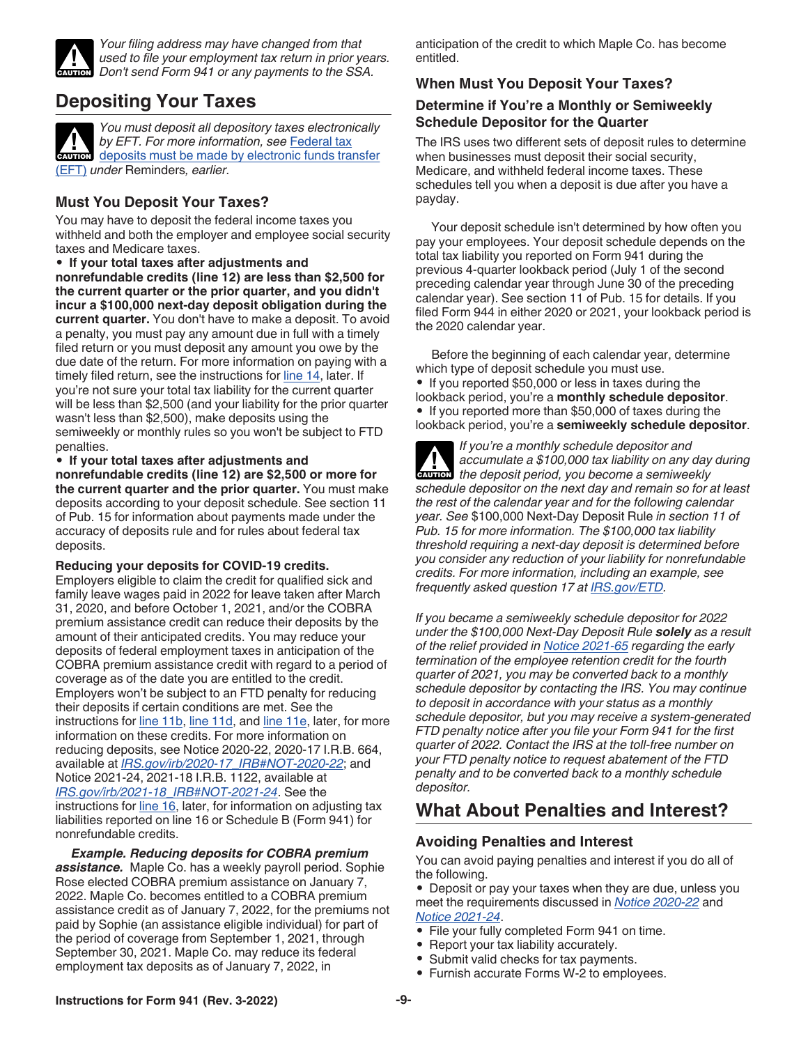<span id="page-8-0"></span>

*Your filing address may have changed from that used to file your employment tax return in prior years.*  **CAUTION** Used to file your employment tax return in prior year.<br>
Don't send Form 941 or any payments to the SSA.

# **Depositing Your Taxes**

*You must deposit all depository taxes electronically by EFT. For more information, see* [Federal tax](#page-4-0)  by EFT. For more information, see Federal tax<br>deposits must be made by electronic funds transfer [\(EFT\)](#page-4-0) *under* Reminders*, earlier.*

# **Must You Deposit Your Taxes?**

You may have to deposit the federal income taxes you withheld and both the employer and employee social security taxes and Medicare taxes.

• **If your total taxes after adjustments and nonrefundable credits (line 12) are less than \$2,500 for the current quarter or the prior quarter, and you didn't incur a \$100,000 next-day deposit obligation during the current quarter.** You don't have to make a deposit. To avoid a penalty, you must pay any amount due in full with a timely filed return or you must deposit any amount you owe by the due date of the return. For more information on paying with a timely filed return, see the instructions for [line 14,](#page-16-0) later. If you're not sure your total tax liability for the current quarter will be less than \$2,500 (and your liability for the prior quarter wasn't less than \$2,500), make deposits using the semiweekly or monthly rules so you won't be subject to FTD penalties.

• **If your total taxes after adjustments and nonrefundable credits (line 12) are \$2,500 or more for the current quarter and the prior quarter.** You must make deposits according to your deposit schedule. See section 11 of Pub. 15 for information about payments made under the accuracy of deposits rule and for rules about federal tax deposits.

#### **Reducing your deposits for COVID-19 credits.**

Employers eligible to claim the credit for qualified sick and family leave wages paid in 2022 for leave taken after March 31, 2020, and before October 1, 2021, and/or the COBRA premium assistance credit can reduce their deposits by the amount of their anticipated credits. You may reduce your deposits of federal employment taxes in anticipation of the COBRA premium assistance credit with regard to a period of coverage as of the date you are entitled to the credit. Employers won't be subject to an FTD penalty for reducing their deposits if certain conditions are met. See the instructions for [line 11b,](#page-13-0) [line 11d](#page-14-0), and [line 11e](#page-15-0), later, for more information on these credits. For more information on reducing deposits, see Notice 2020-22, 2020-17 I.R.B. 664, available at *[IRS.gov/irb/2020-17\\_IRB#NOT-2020-22](https://www.irs.gov/irb/2020-17_IRB#NOT-2020-22)*; and Notice 2021-24, 2021-18 I.R.B. 1122, available at *[IRS.gov/irb/2021-18\\_IRB#NOT-2021-24](https://www.irs.gov/irb/2021-18_IRB#NOT-2021-24)*. See the instructions for [line 16](#page-17-0), later, for information on adjusting tax liabilities reported on line 16 or Schedule B (Form 941) for nonrefundable credits.

*Example. Reducing deposits for COBRA premium assistance.* Maple Co. has a weekly payroll period. Sophie Rose elected COBRA premium assistance on January 7, 2022. Maple Co. becomes entitled to a COBRA premium assistance credit as of January 7, 2022, for the premiums not paid by Sophie (an assistance eligible individual) for part of the period of coverage from September 1, 2021, through September 30, 2021. Maple Co. may reduce its federal employment tax deposits as of January 7, 2022, in

anticipation of the credit to which Maple Co. has become entitled.

# **When Must You Deposit Your Taxes?**

### **Determine if You're a Monthly or Semiweekly Schedule Depositor for the Quarter**

The IRS uses two different sets of deposit rules to determine when businesses must deposit their social security, Medicare, and withheld federal income taxes. These schedules tell you when a deposit is due after you have a payday.

Your deposit schedule isn't determined by how often you pay your employees. Your deposit schedule depends on the total tax liability you reported on Form 941 during the previous 4-quarter lookback period (July 1 of the second preceding calendar year through June 30 of the preceding calendar year). See section 11 of Pub. 15 for details. If you filed Form 944 in either 2020 or 2021, your lookback period is the 2020 calendar year.

Before the beginning of each calendar year, determine which type of deposit schedule you must use.

• If you reported \$50,000 or less in taxes during the lookback period, you're a **monthly schedule depositor**. • If you reported more than \$50,000 of taxes during the lookback period, you're a **semiweekly schedule depositor**.

*If you're a monthly schedule depositor and accumulate a \$100,000 tax liability on any day during*  **depending a** accumulate a \$100,000 tax liability on any day *schedule depositor on the next day and remain so for at least the rest of the calendar year and for the following calendar year. See* \$100,000 Next-Day Deposit Rule *in section 11 of Pub. 15 for more information. The \$100,000 tax liability threshold requiring a next-day deposit is determined before you consider any reduction of your liability for nonrefundable credits. For more information, including an example, see frequently asked question 17 at [IRS.gov/ETD.](https://www.irs.gov/etd)*

*If you became a semiweekly schedule depositor for 2022 under the \$100,000 Next-Day Deposit Rule solely as a result of the relief provided in [Notice 2021-65](https://www.irs.gov/irb/2021-51_IRB#NOT-2021-65) regarding the early termination of the employee retention credit for the fourth quarter of 2021, you may be converted back to a monthly schedule depositor by contacting the IRS. You may continue to deposit in accordance with your status as a monthly schedule depositor, but you may receive a system-generated FTD penalty notice after you file your Form 941 for the first quarter of 2022. Contact the IRS at the toll-free number on your FTD penalty notice to request abatement of the FTD penalty and to be converted back to a monthly schedule depositor.*

# **What About Penalties and Interest?**

# **Avoiding Penalties and Interest**

You can avoid paying penalties and interest if you do all of the following.

• Deposit or pay your taxes when they are due, unless you meet the requirements discussed in *[Notice 2020-22](https://www.irs.gov/irb/2020-17_IRB#NOT-2020-22)* and *[Notice 2021-24](https://www.irs.gov/irb/2021-18_IRB#NOT-2021-24)*.

- File your fully completed Form 941 on time.
- Report your tax liability accurately.
- Submit valid checks for tax payments.
- Furnish accurate Forms W-2 to employees.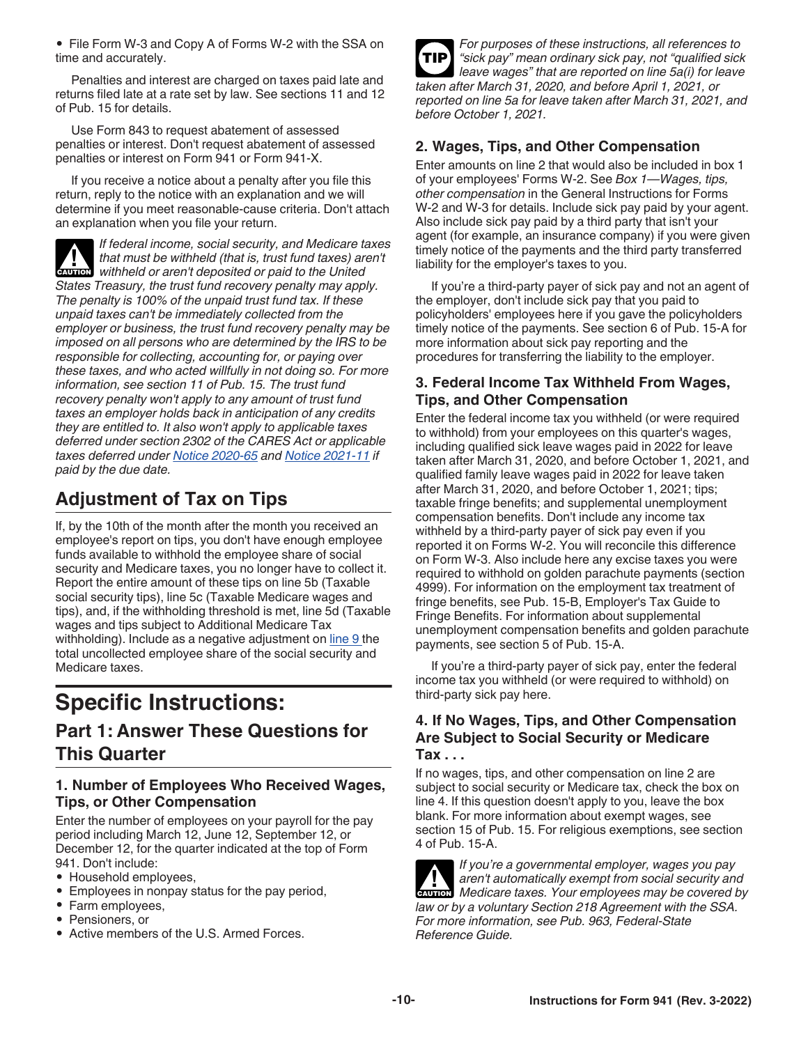<span id="page-9-0"></span>• File Form W-3 and Copy A of Forms W-2 with the SSA on time and accurately.

Penalties and interest are charged on taxes paid late and returns filed late at a rate set by law. See sections 11 and 12 of Pub. 15 for details.

Use Form 843 to request abatement of assessed penalties or interest. Don't request abatement of assessed penalties or interest on Form 941 or Form 941-X.

If you receive a notice about a penalty after you file this return, reply to the notice with an explanation and we will determine if you meet reasonable-cause criteria. Don't attach an explanation when you file your return.

*If federal income, social security, and Medicare taxes that must be withheld (that is, trust fund taxes) aren't c***AUTION** that must be withheld (that is, trust fund taxes) are withheld or aren't deposited or paid to the United *States Treasury, the trust fund recovery penalty may apply. The penalty is 100% of the unpaid trust fund tax. If these unpaid taxes can't be immediately collected from the employer or business, the trust fund recovery penalty may be imposed on all persons who are determined by the IRS to be responsible for collecting, accounting for, or paying over these taxes, and who acted willfully in not doing so. For more information, see section 11 of Pub. 15. The trust fund recovery penalty won't apply to any amount of trust fund taxes an employer holds back in anticipation of any credits they are entitled to. It also won't apply to applicable taxes deferred under section 2302 of the CARES Act or applicable taxes deferred under [Notice 2020-65](https://www.irs.gov/irb/2020-38_IRB#NOT-2020-65) and [Notice 2021-11](https://www.irs.gov/irb/2021-06_IRB#NOT-2021-11) if paid by the due date.*

# **Adjustment of Tax on Tips**

If, by the 10th of the month after the month you received an employee's report on tips, you don't have enough employee funds available to withhold the employee share of social security and Medicare taxes, you no longer have to collect it. Report the entire amount of these tips on line 5b (Taxable social security tips), line 5c (Taxable Medicare wages and tips), and, if the withholding threshold is met, line 5d (Taxable wages and tips subject to Additional Medicare Tax withholding). Include as a negative adjustment on [line 9 t](#page-13-0)he total uncollected employee share of the social security and Medicare taxes.

# **Specific Instructions:**

# **Part 1: Answer These Questions for This Quarter**

#### **1. Number of Employees Who Received Wages, Tips, or Other Compensation**

Enter the number of employees on your payroll for the pay period including March 12, June 12, September 12, or December 12, for the quarter indicated at the top of Form 941. Don't include:

- Household employees,
- Employees in nonpay status for the pay period,
- Farm employees,
- Pensioners, or
- Active members of the U.S. Armed Forces.



## **2. Wages, Tips, and Other Compensation**

Enter amounts on line 2 that would also be included in box 1 of your employees' Forms W-2. See *Box 1—Wages, tips, other compensation* in the General Instructions for Forms W-2 and W-3 for details. Include sick pay paid by your agent. Also include sick pay paid by a third party that isn't your agent (for example, an insurance company) if you were given timely notice of the payments and the third party transferred liability for the employer's taxes to you.

If you're a third-party payer of sick pay and not an agent of the employer, don't include sick pay that you paid to policyholders' employees here if you gave the policyholders timely notice of the payments. See section 6 of Pub. 15-A for more information about sick pay reporting and the procedures for transferring the liability to the employer.

## **3. Federal Income Tax Withheld From Wages, Tips, and Other Compensation**

Enter the federal income tax you withheld (or were required to withhold) from your employees on this quarter's wages, including qualified sick leave wages paid in 2022 for leave taken after March 31, 2020, and before October 1, 2021, and qualified family leave wages paid in 2022 for leave taken after March 31, 2020, and before October 1, 2021; tips; taxable fringe benefits; and supplemental unemployment compensation benefits. Don't include any income tax withheld by a third-party payer of sick pay even if you reported it on Forms W-2. You will reconcile this difference on Form W-3. Also include here any excise taxes you were required to withhold on golden parachute payments (section 4999). For information on the employment tax treatment of fringe benefits, see Pub. 15-B, Employer's Tax Guide to Fringe Benefits. For information about supplemental unemployment compensation benefits and golden parachute payments, see section 5 of Pub. 15-A.

If you're a third-party payer of sick pay, enter the federal income tax you withheld (or were required to withhold) on third-party sick pay here.

#### **4. If No Wages, Tips, and Other Compensation Are Subject to Social Security or Medicare Tax . . .**

If no wages, tips, and other compensation on line 2 are subject to social security or Medicare tax, check the box on line 4. If this question doesn't apply to you, leave the box blank. For more information about exempt wages, see section 15 of Pub. 15. For religious exemptions, see section 4 of Pub. 15-A.

*If you're a governmental employer, wages you pay aren't automatically exempt from social security and*  **Medicare taxes. Your employees may be covered by a medicare taxes. Your employees may be covered by** *law or by a voluntary Section 218 Agreement with the SSA. For more information, see Pub. 963, Federal-State Reference Guide.*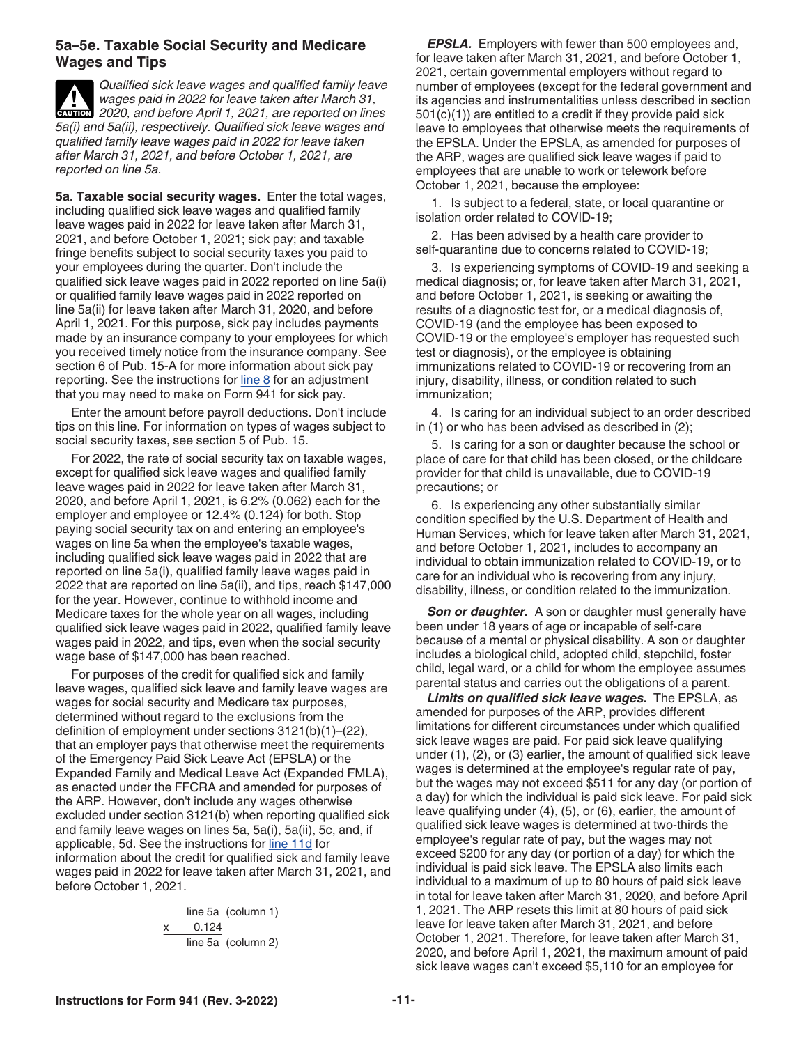#### <span id="page-10-0"></span>**5a–5e. Taxable Social Security and Medicare Wages and Tips**

*Qualified sick leave wages and qualified family leave wages paid in 2022 for leave taken after March 31,*  **2020, and before April 1, 2021, are reported on lines** *5a(i) and 5a(ii), respectively. Qualified sick leave wages and qualified family leave wages paid in 2022 for leave taken after March 31, 2021, and before October 1, 2021, are reported on line 5a.*

**5a. Taxable social security wages.** Enter the total wages, including qualified sick leave wages and qualified family leave wages paid in 2022 for leave taken after March 31, 2021, and before October 1, 2021; sick pay; and taxable fringe benefits subject to social security taxes you paid to your employees during the quarter. Don't include the qualified sick leave wages paid in 2022 reported on line 5a(i) or qualified family leave wages paid in 2022 reported on line 5a(ii) for leave taken after March 31, 2020, and before April 1, 2021. For this purpose, sick pay includes payments made by an insurance company to your employees for which you received timely notice from the insurance company. See section 6 of Pub. 15-A for more information about sick pay reporting. See the instructions for  $line 8$  for an adjustment that you may need to make on Form 941 for sick pay.

Enter the amount before payroll deductions. Don't include tips on this line. For information on types of wages subject to social security taxes, see section 5 of Pub. 15.

For 2022, the rate of social security tax on taxable wages, except for qualified sick leave wages and qualified family leave wages paid in 2022 for leave taken after March 31, 2020, and before April 1, 2021, is 6.2% (0.062) each for the employer and employee or 12.4% (0.124) for both. Stop paying social security tax on and entering an employee's wages on line 5a when the employee's taxable wages, including qualified sick leave wages paid in 2022 that are reported on line 5a(i), qualified family leave wages paid in 2022 that are reported on line 5a(ii), and tips, reach \$147,000 for the year. However, continue to withhold income and Medicare taxes for the whole year on all wages, including qualified sick leave wages paid in 2022, qualified family leave wages paid in 2022, and tips, even when the social security wage base of \$147,000 has been reached.

For purposes of the credit for qualified sick and family leave wages, qualified sick leave and family leave wages are wages for social security and Medicare tax purposes, determined without regard to the exclusions from the definition of employment under sections 3121(b)(1)–(22), that an employer pays that otherwise meet the requirements of the Emergency Paid Sick Leave Act (EPSLA) or the Expanded Family and Medical Leave Act (Expanded FMLA), as enacted under the FFCRA and amended for purposes of the ARP. However, don't include any wages otherwise excluded under section 3121(b) when reporting qualified sick and family leave wages on lines 5a, 5a(i), 5a(ii), 5c, and, if applicable, 5d. See the instructions for [line 11d](#page-14-0) for information about the credit for qualified sick and family leave wages paid in 2022 for leave taken after March 31, 2021, and before October 1, 2021.

> line 5a (column 1) x    0.124 line 5a (column 2)

*EPSLA.* Employers with fewer than 500 employees and, for leave taken after March 31, 2021, and before October 1, 2021, certain governmental employers without regard to number of employees (except for the federal government and its agencies and instrumentalities unless described in section 501(c)(1)) are entitled to a credit if they provide paid sick leave to employees that otherwise meets the requirements of the EPSLA. Under the EPSLA, as amended for purposes of the ARP, wages are qualified sick leave wages if paid to employees that are unable to work or telework before October 1, 2021, because the employee:

1. Is subject to a federal, state, or local quarantine or isolation order related to COVID-19;

2. Has been advised by a health care provider to self-quarantine due to concerns related to COVID-19;

3. Is experiencing symptoms of COVID-19 and seeking a medical diagnosis; or, for leave taken after March 31, 2021, and before October 1, 2021, is seeking or awaiting the results of a diagnostic test for, or a medical diagnosis of, COVID-19 (and the employee has been exposed to COVID-19 or the employee's employer has requested such test or diagnosis), or the employee is obtaining immunizations related to COVID-19 or recovering from an injury, disability, illness, or condition related to such immunization;

4. Is caring for an individual subject to an order described in (1) or who has been advised as described in (2);

5. Is caring for a son or daughter because the school or place of care for that child has been closed, or the childcare provider for that child is unavailable, due to COVID-19 precautions; or

6. Is experiencing any other substantially similar condition specified by the U.S. Department of Health and Human Services, which for leave taken after March 31, 2021, and before October 1, 2021, includes to accompany an individual to obtain immunization related to COVID-19, or to care for an individual who is recovering from any injury, disability, illness, or condition related to the immunization.

**Son or daughter.** A son or daughter must generally have been under 18 years of age or incapable of self-care because of a mental or physical disability. A son or daughter includes a biological child, adopted child, stepchild, foster child, legal ward, or a child for whom the employee assumes parental status and carries out the obligations of a parent.

*Limits on qualified sick leave wages.* The EPSLA, as amended for purposes of the ARP, provides different limitations for different circumstances under which qualified sick leave wages are paid. For paid sick leave qualifying under (1), (2), or (3) earlier, the amount of qualified sick leave wages is determined at the employee's regular rate of pay, but the wages may not exceed \$511 for any day (or portion of a day) for which the individual is paid sick leave. For paid sick leave qualifying under (4), (5), or (6), earlier, the amount of qualified sick leave wages is determined at two-thirds the employee's regular rate of pay, but the wages may not exceed \$200 for any day (or portion of a day) for which the individual is paid sick leave. The EPSLA also limits each individual to a maximum of up to 80 hours of paid sick leave in total for leave taken after March 31, 2020, and before April 1, 2021. The ARP resets this limit at 80 hours of paid sick leave for leave taken after March 31, 2021, and before October 1, 2021. Therefore, for leave taken after March 31, 2020, and before April 1, 2021, the maximum amount of paid sick leave wages can't exceed \$5,110 for an employee for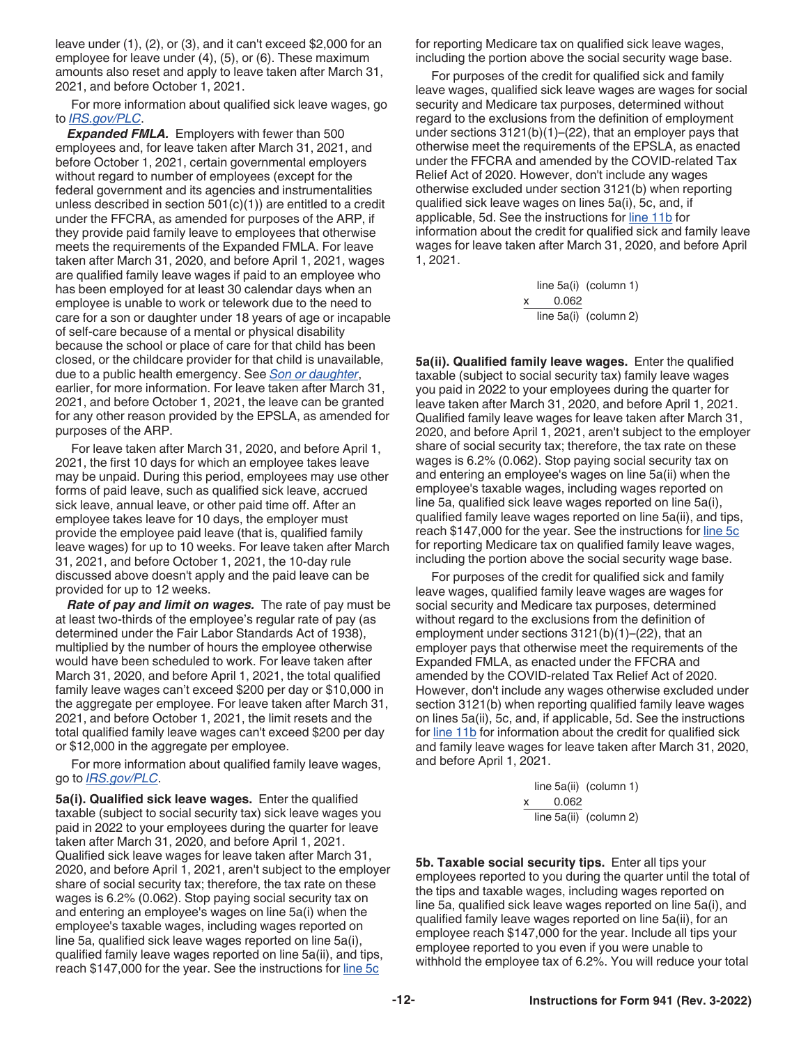<span id="page-11-0"></span>leave under (1), (2), or (3), and it can't exceed \$2,000 for an employee for leave under (4), (5), or (6). These maximum amounts also reset and apply to leave taken after March 31, 2021, and before October 1, 2021.

For more information about qualified sick leave wages, go to *[IRS.gov/PLC](https://www.irs.gov/plc)*.

*Expanded FMLA.* Employers with fewer than 500 employees and, for leave taken after March 31, 2021, and before October 1, 2021, certain governmental employers without regard to number of employees (except for the federal government and its agencies and instrumentalities unless described in section 501(c)(1)) are entitled to a credit under the FFCRA, as amended for purposes of the ARP, if they provide paid family leave to employees that otherwise meets the requirements of the Expanded FMLA. For leave taken after March 31, 2020, and before April 1, 2021, wages are qualified family leave wages if paid to an employee who has been employed for at least 30 calendar days when an employee is unable to work or telework due to the need to care for a son or daughter under 18 years of age or incapable of self-care because of a mental or physical disability because the school or place of care for that child has been closed, or the childcare provider for that child is unavailable, due to a public health emergency. See *[Son or daughter](#page-10-0)*, earlier, for more information. For leave taken after March 31, 2021, and before October 1, 2021, the leave can be granted for any other reason provided by the EPSLA, as amended for purposes of the ARP.

For leave taken after March 31, 2020, and before April 1, 2021, the first 10 days for which an employee takes leave may be unpaid. During this period, employees may use other forms of paid leave, such as qualified sick leave, accrued sick leave, annual leave, or other paid time off. After an employee takes leave for 10 days, the employer must provide the employee paid leave (that is, qualified family leave wages) for up to 10 weeks. For leave taken after March 31, 2021, and before October 1, 2021, the 10-day rule discussed above doesn't apply and the paid leave can be provided for up to 12 weeks.

*Rate of pay and limit on wages.* The rate of pay must be at least two-thirds of the employee's regular rate of pay (as determined under the Fair Labor Standards Act of 1938), multiplied by the number of hours the employee otherwise would have been scheduled to work. For leave taken after March 31, 2020, and before April 1, 2021, the total qualified family leave wages can't exceed \$200 per day or \$10,000 in the aggregate per employee. For leave taken after March 31, 2021, and before October 1, 2021, the limit resets and the total qualified family leave wages can't exceed \$200 per day or \$12,000 in the aggregate per employee.

For more information about qualified family leave wages, go to *[IRS.gov/PLC](https://www.irs.gov/plc)*.

**5a(i). Qualified sick leave wages.** Enter the qualified taxable (subject to social security tax) sick leave wages you paid in 2022 to your employees during the quarter for leave taken after March 31, 2020, and before April 1, 2021. Qualified sick leave wages for leave taken after March 31, 2020, and before April 1, 2021, aren't subject to the employer share of social security tax; therefore, the tax rate on these wages is 6.2% (0.062). Stop paying social security tax on and entering an employee's wages on line 5a(i) when the employee's taxable wages, including wages reported on line 5a, qualified sick leave wages reported on line 5a(i), qualified family leave wages reported on line 5a(ii), and tips, reach \$147,000 for the year. See the instructions for [line 5c](#page-12-0)

for reporting Medicare tax on qualified sick leave wages, including the portion above the social security wage base.

For purposes of the credit for qualified sick and family leave wages, qualified sick leave wages are wages for social security and Medicare tax purposes, determined without regard to the exclusions from the definition of employment under sections 3121(b)(1)–(22), that an employer pays that otherwise meet the requirements of the EPSLA, as enacted under the FFCRA and amended by the COVID-related Tax Relief Act of 2020. However, don't include any wages otherwise excluded under section 3121(b) when reporting qualified sick leave wages on lines 5a(i), 5c, and, if applicable, 5d. See the instructions for [line 11b](#page-13-0) for information about the credit for qualified sick and family leave wages for leave taken after March 31, 2020, and before April 1, 2021.

> line 5a(i) (column 1) 0.062 line 5a(i) (column 2)

**5a(ii). Qualified family leave wages.** Enter the qualified taxable (subject to social security tax) family leave wages you paid in 2022 to your employees during the quarter for leave taken after March 31, 2020, and before April 1, 2021. Qualified family leave wages for leave taken after March 31, 2020, and before April 1, 2021, aren't subject to the employer share of social security tax; therefore, the tax rate on these wages is 6.2% (0.062). Stop paying social security tax on and entering an employee's wages on line 5a(ii) when the employee's taxable wages, including wages reported on line 5a, qualified sick leave wages reported on line 5a(i), qualified family leave wages reported on line 5a(ii), and tips, reach \$147,000 for the year. See the instructions for [line 5c](#page-12-0) for reporting Medicare tax on qualified family leave wages, including the portion above the social security wage base.

For purposes of the credit for qualified sick and family leave wages, qualified family leave wages are wages for social security and Medicare tax purposes, determined without regard to the exclusions from the definition of employment under sections 3121(b)(1)–(22), that an employer pays that otherwise meet the requirements of the Expanded FMLA, as enacted under the FFCRA and amended by the COVID-related Tax Relief Act of 2020. However, don't include any wages otherwise excluded under section 3121(b) when reporting qualified family leave wages on lines 5a(ii), 5c, and, if applicable, 5d. See the instructions for [line 11b](#page-13-0) for information about the credit for qualified sick and family leave wages for leave taken after March 31, 2020, and before April 1, 2021.

> line 5a(ii) (column 1) x    0.062 line 5a(ii) (column 2)

**5b. Taxable social security tips.** Enter all tips your employees reported to you during the quarter until the total of the tips and taxable wages, including wages reported on line 5a, qualified sick leave wages reported on line 5a(i), and qualified family leave wages reported on line 5a(ii), for an employee reach \$147,000 for the year. Include all tips your employee reported to you even if you were unable to withhold the employee tax of 6.2%. You will reduce your total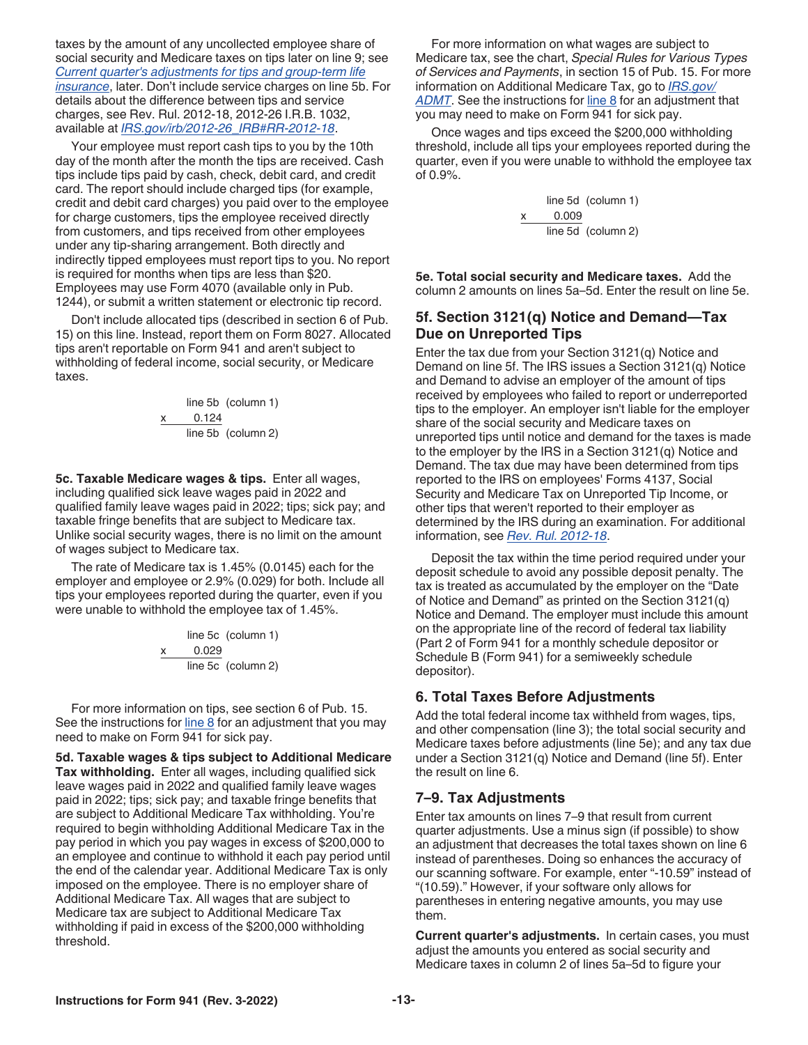<span id="page-12-0"></span>taxes by the amount of any uncollected employee share of social security and Medicare taxes on tips later on line 9; see *[Current quarter's adjustments for tips and group-term life](#page-13-0) [insurance](#page-13-0)*, later. Don't include service charges on line 5b. For details about the difference between tips and service charges, see Rev. Rul. 2012-18, 2012-26 I.R.B. 1032, available at *[IRS.gov/irb/2012-26\\_IRB#RR-2012-18](https://www.irs.gov/irb/2012-26_IRB#RR-2012-18)*.

Your employee must report cash tips to you by the 10th day of the month after the month the tips are received. Cash tips include tips paid by cash, check, debit card, and credit card. The report should include charged tips (for example, credit and debit card charges) you paid over to the employee for charge customers, tips the employee received directly from customers, and tips received from other employees under any tip-sharing arrangement. Both directly and indirectly tipped employees must report tips to you. No report is required for months when tips are less than \$20. Employees may use Form 4070 (available only in Pub. 1244), or submit a written statement or electronic tip record.

Don't include allocated tips (described in section 6 of Pub. 15) on this line. Instead, report them on Form 8027. Allocated tips aren't reportable on Form 941 and aren't subject to withholding of federal income, social security, or Medicare taxes.

line 5b (column 1)  

$$
\begin{array}{r}\n x \quad 0.124 \\
 \hline\n \text{line 5b} \quad \text{(column 2)}\n \end{array}
$$

**5c. Taxable Medicare wages & tips.** Enter all wages, including qualified sick leave wages paid in 2022 and qualified family leave wages paid in 2022; tips; sick pay; and taxable fringe benefits that are subject to Medicare tax. Unlike social security wages, there is no limit on the amount of wages subject to Medicare tax.

The rate of Medicare tax is 1.45% (0.0145) each for the employer and employee or 2.9% (0.029) for both. Include all tips your employees reported during the quarter, even if you were unable to withhold the employee tax of 1.45%.

> line 5c (column 1) x     0.029 line 5c (column 2)

For more information on tips, see section 6 of Pub. 15. See the instructions for  $\frac{\text{line }8}{\text{for an adjustment}}$  that you may need to make on Form 941 for sick pay.

**5d. Taxable wages & tips subject to Additional Medicare Tax withholding.** Enter all wages, including qualified sick leave wages paid in 2022 and qualified family leave wages paid in 2022; tips; sick pay; and taxable fringe benefits that are subject to Additional Medicare Tax withholding. You're required to begin withholding Additional Medicare Tax in the pay period in which you pay wages in excess of \$200,000 to an employee and continue to withhold it each pay period until the end of the calendar year. Additional Medicare Tax is only imposed on the employee. There is no employer share of Additional Medicare Tax. All wages that are subject to Medicare tax are subject to Additional Medicare Tax withholding if paid in excess of the \$200,000 withholding threshold.

For more information on what wages are subject to Medicare tax, see the chart, *Special Rules for Various Types of Services and Payments*, in section 15 of Pub. 15. For more information on Additional Medicare Tax, go to *[IRS.gov/](https://www.irs.gov/admt) [ADMT](https://www.irs.gov/admt)*. See the instructions for [line 8](#page-13-0) for an adjustment that you may need to make on Form 941 for sick pay.

Once wages and tips exceed the \$200,000 withholding threshold, include all tips your employees reported during the quarter, even if you were unable to withhold the employee tax of 0.9%.

> line 5d (column 1) x     0.009 line 5d (column 2)

**5e. Total social security and Medicare taxes.** Add the column 2 amounts on lines 5a–5d. Enter the result on line 5e.

#### **5f. Section 3121(q) Notice and Demand—Tax Due on Unreported Tips**

Enter the tax due from your Section 3121(q) Notice and Demand on line 5f. The IRS issues a Section 3121(q) Notice and Demand to advise an employer of the amount of tips received by employees who failed to report or underreported tips to the employer. An employer isn't liable for the employer share of the social security and Medicare taxes on unreported tips until notice and demand for the taxes is made to the employer by the IRS in a Section 3121(q) Notice and Demand. The tax due may have been determined from tips reported to the IRS on employees' Forms 4137, Social Security and Medicare Tax on Unreported Tip Income, or other tips that weren't reported to their employer as determined by the IRS during an examination. For additional information, see *[Rev. Rul. 2012-18](https://www.irs.gov/irb/2012-26_IRB#RR-2012-18)*.

Deposit the tax within the time period required under your deposit schedule to avoid any possible deposit penalty. The tax is treated as accumulated by the employer on the "Date of Notice and Demand" as printed on the Section 3121(q) Notice and Demand. The employer must include this amount on the appropriate line of the record of federal tax liability (Part 2 of Form 941 for a monthly schedule depositor or Schedule B (Form 941) for a semiweekly schedule depositor).

#### **6. Total Taxes Before Adjustments**

Add the total federal income tax withheld from wages, tips, and other compensation (line 3); the total social security and Medicare taxes before adjustments (line 5e); and any tax due under a Section 3121(q) Notice and Demand (line 5f). Enter the result on line 6.

## **7–9. Tax Adjustments**

Enter tax amounts on lines 7–9 that result from current quarter adjustments. Use a minus sign (if possible) to show an adjustment that decreases the total taxes shown on line 6 instead of parentheses. Doing so enhances the accuracy of our scanning software. For example, enter "-10.59" instead of "(10.59)." However, if your software only allows for parentheses in entering negative amounts, you may use them.

**Current quarter's adjustments.** In certain cases, you must adjust the amounts you entered as social security and Medicare taxes in column 2 of lines 5a–5d to figure your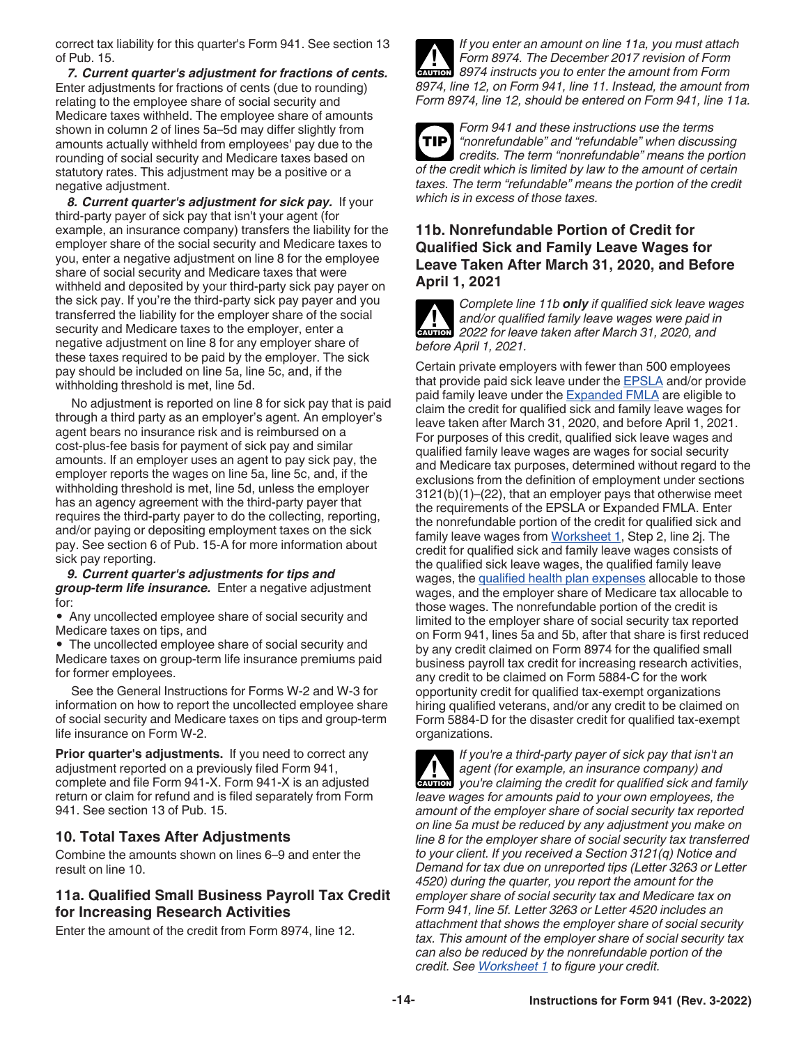<span id="page-13-0"></span>correct tax liability for this quarter's Form 941. See section 13 of Pub. 15.

*7. Current quarter's adjustment for fractions of cents.*  Enter adjustments for fractions of cents (due to rounding) relating to the employee share of social security and Medicare taxes withheld. The employee share of amounts shown in column 2 of lines 5a–5d may differ slightly from amounts actually withheld from employees' pay due to the rounding of social security and Medicare taxes based on statutory rates. This adjustment may be a positive or a negative adjustment.

*8. Current quarter's adjustment for sick pay.* If your third-party payer of sick pay that isn't your agent (for example, an insurance company) transfers the liability for the employer share of the social security and Medicare taxes to you, enter a negative adjustment on line 8 for the employee share of social security and Medicare taxes that were withheld and deposited by your third-party sick pay payer on the sick pay. If you're the third-party sick pay payer and you transferred the liability for the employer share of the social security and Medicare taxes to the employer, enter a negative adjustment on line 8 for any employer share of these taxes required to be paid by the employer. The sick pay should be included on line 5a, line 5c, and, if the withholding threshold is met, line 5d.

No adjustment is reported on line 8 for sick pay that is paid through a third party as an employer's agent. An employer's agent bears no insurance risk and is reimbursed on a cost-plus-fee basis for payment of sick pay and similar amounts. If an employer uses an agent to pay sick pay, the employer reports the wages on line 5a, line 5c, and, if the withholding threshold is met, line 5d, unless the employer has an agency agreement with the third-party payer that requires the third-party payer to do the collecting, reporting, and/or paying or depositing employment taxes on the sick pay. See section 6 of Pub. 15-A for more information about sick pay reporting.

*9. Current quarter's adjustments for tips and group-term life insurance.* Enter a negative adjustment for:

• Any uncollected employee share of social security and Medicare taxes on tips, and

• The uncollected employee share of social security and Medicare taxes on group-term life insurance premiums paid for former employees.

See the General Instructions for Forms W-2 and W-3 for information on how to report the uncollected employee share of social security and Medicare taxes on tips and group-term life insurance on Form W-2.

**Prior quarter's adjustments.** If you need to correct any adjustment reported on a previously filed Form 941, complete and file Form 941-X. Form 941-X is an adjusted return or claim for refund and is filed separately from Form 941. See section 13 of Pub. 15.

## **10. Total Taxes After Adjustments**

Combine the amounts shown on lines 6–9 and enter the result on line 10.

#### **11a. Qualified Small Business Payroll Tax Credit for Increasing Research Activities**

Enter the amount of the credit from Form 8974, line 12.



*If you enter an amount on line 11a, you must attach Form 8974. The December 2017 revision of Form*  **Profilm 8974.** The December 2017 revision of Form **8974** instructs you to enter the amount from Form *8974, line 12, on Form 941, line 11. Instead, the amount from Form 8974, line 12, should be entered on Form 941, line 11a.*

*Form 941 and these instructions use the terms "nonrefundable" and "refundable" when discussing credits. The term "nonrefundable" means the portion of the credit which is limited by law to the amount of certain taxes. The term "refundable" means the portion of the credit which is in excess of those taxes.* **TIP**

## **11b. Nonrefundable Portion of Credit for Qualified Sick and Family Leave Wages for Leave Taken After March 31, 2020, and Before April 1, 2021**

*Complete line 11b only if qualified sick leave wages and/or qualified family leave wages were paid in*  **2022 for leave taken after March 31, 2020, and <b>CAUTION** 2022 for leave taken after March 31, 2020, and *before April 1, 2021.*

Certain private employers with fewer than 500 employees that provide paid sick leave under the [EPSLA](#page-10-0) and/or provide paid family leave under the [Expanded FMLA](#page-11-0) are eligible to claim the credit for qualified sick and family leave wages for leave taken after March 31, 2020, and before April 1, 2021. For purposes of this credit, qualified sick leave wages and qualified family leave wages are wages for social security and Medicare tax purposes, determined without regard to the exclusions from the definition of employment under sections 3121(b)(1)–(22), that an employer pays that otherwise meet the requirements of the EPSLA or Expanded FMLA. Enter the nonrefundable portion of the credit for qualified sick and family leave wages from [Worksheet 1,](#page-21-0) Step 2, line 2j. The credit for qualified sick and family leave wages consists of the qualified sick leave wages, the qualified family leave wages, the [qualified health plan expenses](#page-14-0) allocable to those wages, and the employer share of Medicare tax allocable to those wages. The nonrefundable portion of the credit is limited to the employer share of social security tax reported on Form 941, lines 5a and 5b, after that share is first reduced by any credit claimed on Form 8974 for the qualified small business payroll tax credit for increasing research activities, any credit to be claimed on Form 5884-C for the work opportunity credit for qualified tax-exempt organizations hiring qualified veterans, and/or any credit to be claimed on Form 5884-D for the disaster credit for qualified tax-exempt organizations.

*If you're a third-party payer of sick pay that isn't an agent (for example, an insurance company) and*  **you're claiming the credit for qualified sick and family vou're claiming the credit for qualified sick and family** *leave wages for amounts paid to your own employees, the amount of the employer share of social security tax reported on line 5a must be reduced by any adjustment you make on line 8 for the employer share of social security tax transferred to your client. If you received a Section 3121(q) Notice and Demand for tax due on unreported tips (Letter 3263 or Letter 4520) during the quarter, you report the amount for the employer share of social security tax and Medicare tax on Form 941, line 5f. Letter 3263 or Letter 4520 includes an attachment that shows the employer share of social security tax. This amount of the employer share of social security tax can also be reduced by the nonrefundable portion of the credit. See [Worksheet 1](#page-21-0) to figure your credit.*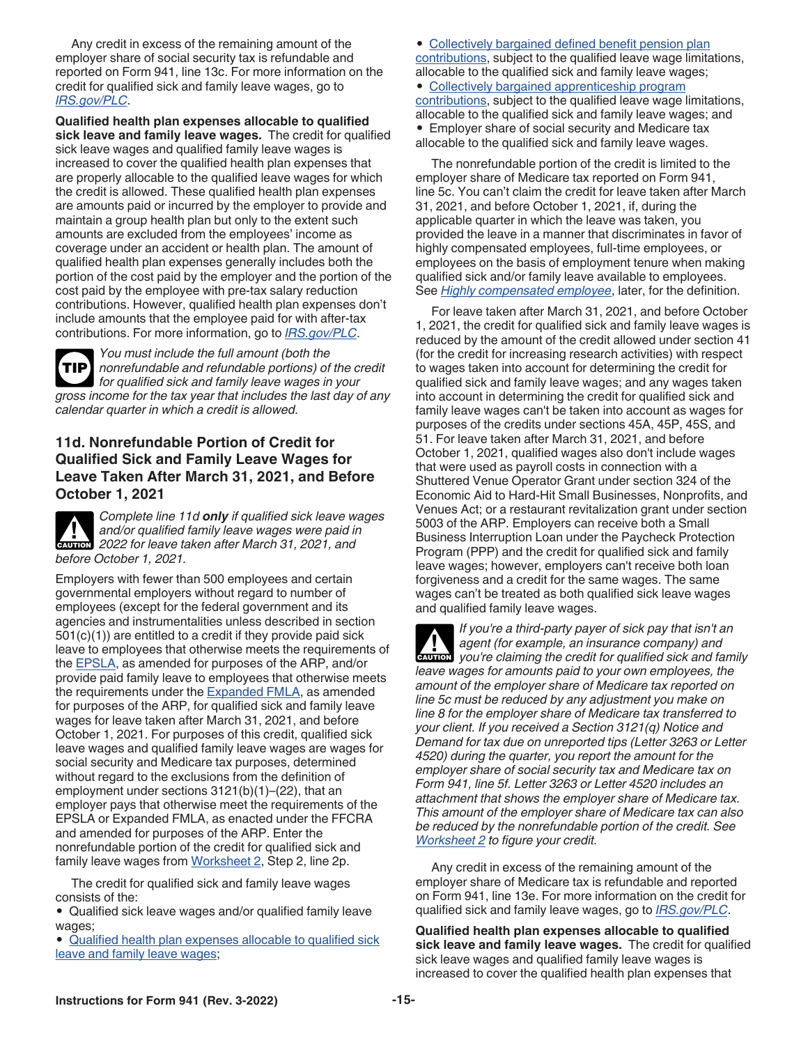<span id="page-14-0"></span>Any credit in excess of the remaining amount of the employer share of social security tax is refundable and reported on Form 941, line 13c. For more information on the credit for qualified sick and family leave wages, go to *[IRS.gov/PLC](https://www.irs.gov/plc)*.

**Qualified health plan expenses allocable to qualified sick leave and family leave wages.** The credit for qualified sick leave wages and qualified family leave wages is increased to cover the qualified health plan expenses that are properly allocable to the qualified leave wages for which the credit is allowed. These qualified health plan expenses are amounts paid or incurred by the employer to provide and maintain a group health plan but only to the extent such amounts are excluded from the employees' income as coverage under an accident or health plan. The amount of qualified health plan expenses generally includes both the portion of the cost paid by the employer and the portion of the cost paid by the employee with pre-tax salary reduction contributions. However, qualified health plan expenses don't include amounts that the employee paid for with after-tax contributions. For more information, go to *[IRS.gov/PLC](https://www.irs.gov/plc)*.

*You must include the full amount (both the nonrefundable and refundable portions) of the credit for qualified sick and family leave wages in your gross income for the tax year that includes the last day of any calendar quarter in which a credit is allowed.* **TIP**

## **11d. Nonrefundable Portion of Credit for Qualified Sick and Family Leave Wages for Leave Taken After March 31, 2021, and Before October 1, 2021**

*Complete line 11d only if qualified sick leave wages and/or qualified family leave wages were paid in*  **2022 for leave taken after March 31, 2021, and <b>CAUTION** 2022 for leave taken after March 31, 2021, and *before October 1, 2021.*

Employers with fewer than 500 employees and certain governmental employers without regard to number of employees (except for the federal government and its agencies and instrumentalities unless described in section 501(c)(1)) are entitled to a credit if they provide paid sick leave to employees that otherwise meets the requirements of the [EPSLA,](#page-10-0) as amended for purposes of the ARP, and/or provide paid family leave to employees that otherwise meets the requirements under the [Expanded FMLA](#page-11-0), as amended for purposes of the ARP, for qualified sick and family leave wages for leave taken after March 31, 2021, and before October 1, 2021. For purposes of this credit, qualified sick leave wages and qualified family leave wages are wages for social security and Medicare tax purposes, determined without regard to the exclusions from the definition of employment under sections 3121(b)(1)–(22), that an employer pays that otherwise meet the requirements of the EPSLA or Expanded FMLA, as enacted under the FFCRA and amended for purposes of the ARP. Enter the nonrefundable portion of the credit for qualified sick and family leave wages from [Worksheet 2,](#page-22-0) Step 2, line 2p.

The credit for qualified sick and family leave wages consists of the:

• Qualified sick leave wages and/or qualified family leave wages;

• Qualified health plan expenses allocable to qualified sick leave and family leave wages;

• [Collectively bargained defined benefit pension plan](#page-15-0) [contributions,](#page-15-0) subject to the qualified leave wage limitations, allocable to the qualified sick and family leave wages; • [Collectively bargained apprenticeship program](#page-15-0)  [contributions,](#page-15-0) subject to the qualified leave wage limitations, allocable to the qualified sick and family leave wages; and • Employer share of social security and Medicare tax allocable to the qualified sick and family leave wages.

The nonrefundable portion of the credit is limited to the employer share of Medicare tax reported on Form 941, line 5c. You can't claim the credit for leave taken after March 31, 2021, and before October 1, 2021, if, during the applicable quarter in which the leave was taken, you provided the leave in a manner that discriminates in favor of highly compensated employees, full-time employees, or employees on the basis of employment tenure when making qualified sick and/or family leave available to employees. See *[Highly compensated employee](#page-15-0)*, later, for the definition.

For leave taken after March 31, 2021, and before October 1, 2021, the credit for qualified sick and family leave wages is reduced by the amount of the credit allowed under section 41 (for the credit for increasing research activities) with respect to wages taken into account for determining the credit for qualified sick and family leave wages; and any wages taken into account in determining the credit for qualified sick and family leave wages can't be taken into account as wages for purposes of the credits under sections 45A, 45P, 45S, and 51. For leave taken after March 31, 2021, and before October 1, 2021, qualified wages also don't include wages that were used as payroll costs in connection with a Shuttered Venue Operator Grant under section 324 of the Economic Aid to Hard-Hit Small Businesses, Nonprofits, and Venues Act; or a restaurant revitalization grant under section 5003 of the ARP. Employers can receive both a Small Business Interruption Loan under the Paycheck Protection Program (PPP) and the credit for qualified sick and family leave wages; however, employers can't receive both loan forgiveness and a credit for the same wages. The same wages can't be treated as both qualified sick leave wages and qualified family leave wages.

*If you're a third-party payer of sick pay that isn't an agent (for example, an insurance company) and*  **you're claiming the credit for qualified sick and family vou're claiming the credit for qualified sick and family** *leave wages for amounts paid to your own employees, the amount of the employer share of Medicare tax reported on line 5c must be reduced by any adjustment you make on line 8 for the employer share of Medicare tax transferred to your client. If you received a Section 3121(q) Notice and Demand for tax due on unreported tips (Letter 3263 or Letter 4520) during the quarter, you report the amount for the employer share of social security tax and Medicare tax on Form 941, line 5f. Letter 3263 or Letter 4520 includes an attachment that shows the employer share of Medicare tax. This amount of the employer share of Medicare tax can also be reduced by the nonrefundable portion of the credit. See [Worksheet 2](#page-22-0) to figure your credit.*

Any credit in excess of the remaining amount of the employer share of Medicare tax is refundable and reported on Form 941, line 13e. For more information on the credit for qualified sick and family leave wages, go to *[IRS.gov/PLC](https://www.irs.gov/PLC)*.

**Qualified health plan expenses allocable to qualified sick leave and family leave wages.** The credit for qualified sick leave wages and qualified family leave wages is increased to cover the qualified health plan expenses that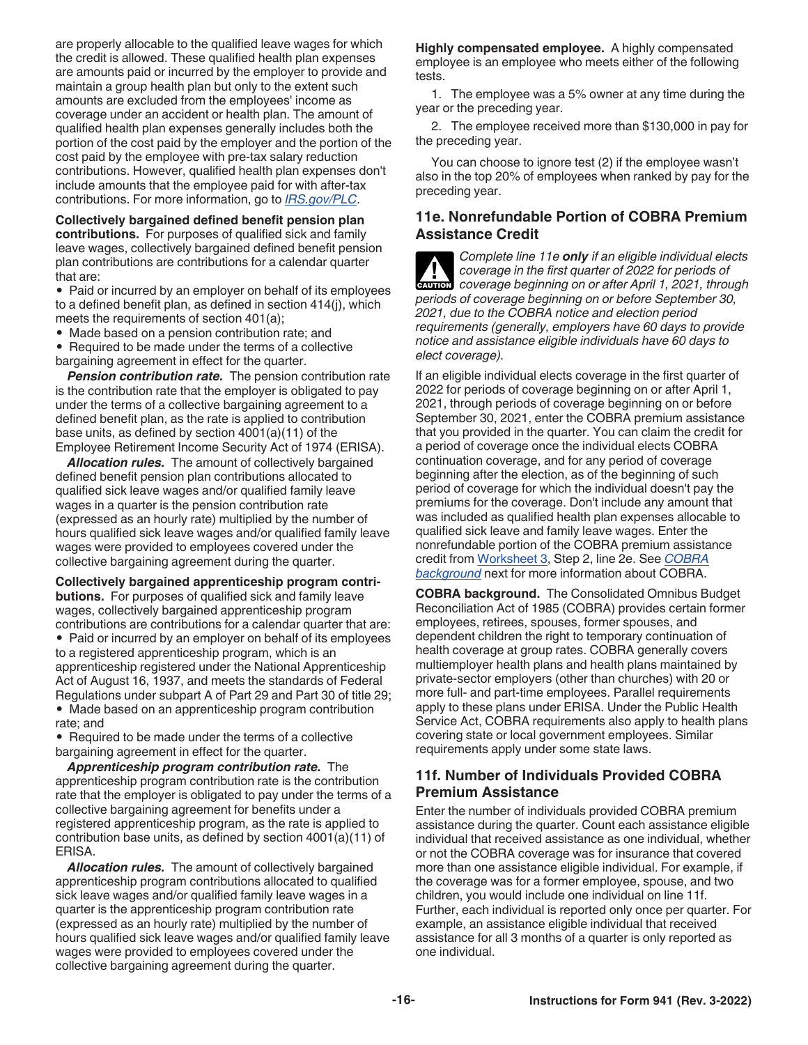<span id="page-15-0"></span>are properly allocable to the qualified leave wages for which the credit is allowed. These qualified health plan expenses are amounts paid or incurred by the employer to provide and maintain a group health plan but only to the extent such amounts are excluded from the employees' income as coverage under an accident or health plan. The amount of qualified health plan expenses generally includes both the portion of the cost paid by the employer and the portion of the cost paid by the employee with pre-tax salary reduction contributions. However, qualified health plan expenses don't include amounts that the employee paid for with after-tax contributions. For more information, go to *[IRS.gov/PLC](https://www.irs.gov/PLC)*.

**Collectively bargained defined benefit pension plan contributions.** For purposes of qualified sick and family leave wages, collectively bargained defined benefit pension plan contributions are contributions for a calendar quarter that are:

- Paid or incurred by an employer on behalf of its employees to a defined benefit plan, as defined in section 414(j), which meets the requirements of section 401(a);
- Made based on a pension contribution rate; and

• Required to be made under the terms of a collective bargaining agreement in effect for the quarter.

**Pension contribution rate.** The pension contribution rate is the contribution rate that the employer is obligated to pay under the terms of a collective bargaining agreement to a defined benefit plan, as the rate is applied to contribution base units, as defined by section 4001(a)(11) of the Employee Retirement Income Security Act of 1974 (ERISA).

*Allocation rules.* The amount of collectively bargained defined benefit pension plan contributions allocated to qualified sick leave wages and/or qualified family leave wages in a quarter is the pension contribution rate (expressed as an hourly rate) multiplied by the number of hours qualified sick leave wages and/or qualified family leave wages were provided to employees covered under the collective bargaining agreement during the quarter.

**Collectively bargained apprenticeship program contributions.** For purposes of qualified sick and family leave wages, collectively bargained apprenticeship program contributions are contributions for a calendar quarter that are:

• Paid or incurred by an employer on behalf of its employees to a registered apprenticeship program, which is an apprenticeship registered under the National Apprenticeship Act of August 16, 1937, and meets the standards of Federal Regulations under subpart A of Part 29 and Part 30 of title 29; • Made based on an apprenticeship program contribution

rate; and • Required to be made under the terms of a collective bargaining agreement in effect for the quarter.

*Apprenticeship program contribution rate.* The apprenticeship program contribution rate is the contribution rate that the employer is obligated to pay under the terms of a collective bargaining agreement for benefits under a registered apprenticeship program, as the rate is applied to contribution base units, as defined by section 4001(a)(11) of ERISA.

*Allocation rules.* The amount of collectively bargained apprenticeship program contributions allocated to qualified sick leave wages and/or qualified family leave wages in a quarter is the apprenticeship program contribution rate (expressed as an hourly rate) multiplied by the number of hours qualified sick leave wages and/or qualified family leave wages were provided to employees covered under the collective bargaining agreement during the quarter.

**Highly compensated employee.** A highly compensated employee is an employee who meets either of the following tests.

1. The employee was a 5% owner at any time during the year or the preceding year.

2. The employee received more than \$130,000 in pay for the preceding year.

You can choose to ignore test (2) if the employee wasn't also in the top 20% of employees when ranked by pay for the preceding year.

#### **11e. Nonrefundable Portion of COBRA Premium Assistance Credit**

*Complete line 11e only if an eligible individual elects coverage in the first quarter of 2022 for periods of coverage beginning on or after April 1, 2021, through periods of coverage beginning on or before September 30, 2021, due to the COBRA notice and election period requirements (generally, employers have 60 days to provide notice and assistance eligible individuals have 60 days to elect coverage).* **CAUTION !**

If an eligible individual elects coverage in the first quarter of 2022 for periods of coverage beginning on or after April 1, 2021, through periods of coverage beginning on or before September 30, 2021, enter the COBRA premium assistance that you provided in the quarter. You can claim the credit for a period of coverage once the individual elects COBRA continuation coverage, and for any period of coverage beginning after the election, as of the beginning of such period of coverage for which the individual doesn't pay the premiums for the coverage. Don't include any amount that was included as qualified health plan expenses allocable to qualified sick leave and family leave wages. Enter the nonrefundable portion of the COBRA premium assistance credit from [Worksheet 3,](#page-23-0) Step 2, line 2e. See *COBRA background* next for more information about COBRA.

**COBRA background.** The Consolidated Omnibus Budget Reconciliation Act of 1985 (COBRA) provides certain former employees, retirees, spouses, former spouses, and dependent children the right to temporary continuation of health coverage at group rates. COBRA generally covers multiemployer health plans and health plans maintained by private-sector employers (other than churches) with 20 or more full- and part-time employees. Parallel requirements apply to these plans under ERISA. Under the Public Health Service Act, COBRA requirements also apply to health plans covering state or local government employees. Similar requirements apply under some state laws.

#### **11f. Number of Individuals Provided COBRA Premium Assistance**

Enter the number of individuals provided COBRA premium assistance during the quarter. Count each assistance eligible individual that received assistance as one individual, whether or not the COBRA coverage was for insurance that covered more than one assistance eligible individual. For example, if the coverage was for a former employee, spouse, and two children, you would include one individual on line 11f. Further, each individual is reported only once per quarter. For example, an assistance eligible individual that received assistance for all 3 months of a quarter is only reported as one individual.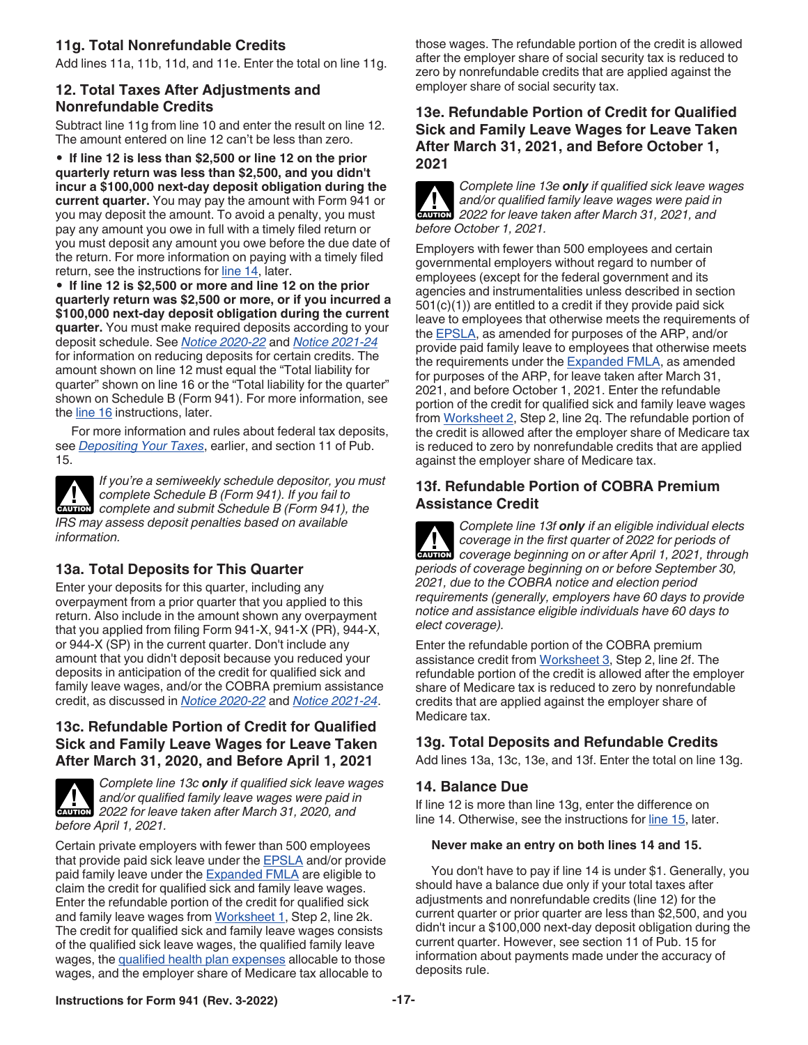# <span id="page-16-0"></span>**11g. Total Nonrefundable Credits**

Add lines 11a, 11b, 11d, and 11e. Enter the total on line 11g.

#### **12. Total Taxes After Adjustments and Nonrefundable Credits**

Subtract line 11g from line 10 and enter the result on line 12. The amount entered on line 12 can't be less than zero.

• **If line 12 is less than \$2,500 or line 12 on the prior quarterly return was less than \$2,500, and you didn't incur a \$100,000 next-day deposit obligation during the current quarter.** You may pay the amount with Form 941 or you may deposit the amount. To avoid a penalty, you must pay any amount you owe in full with a timely filed return or you must deposit any amount you owe before the due date of the return. For more information on paying with a timely filed return, see the instructions for line 14, later.

• **If line 12 is \$2,500 or more and line 12 on the prior quarterly return was \$2,500 or more, or if you incurred a \$100,000 next-day deposit obligation during the current quarter.** You must make required deposits according to your deposit schedule. See *[Notice 2020-22](https://www.irs.gov/irb/2020-17_IRB#NOT-2020-22)* and *[Notice 2021-24](https://www.irs.gov/irb/2021-18_IRB#NOT-2021-24)*  for information on reducing deposits for certain credits. The amount shown on line 12 must equal the "Total liability for quarter" shown on line 16 or the "Total liability for the quarter" shown on Schedule B (Form 941). For more information, see the [line 16](#page-17-0) instructions, later.

For more information and rules about federal tax deposits, see *[Depositing Your Taxes](#page-8-0)*, earlier, and section 11 of Pub. 15.



*If you're a semiweekly schedule depositor, you must complete Schedule B (Form 941). If you fail to*  **COMPLETE Schedule B (Form 941). If you fail to complete and submit Schedule B (Form 941), the** *IRS may assess deposit penalties based on available information.*

# **13a. Total Deposits for This Quarter**

Enter your deposits for this quarter, including any overpayment from a prior quarter that you applied to this return. Also include in the amount shown any overpayment that you applied from filing Form 941-X, 941-X (PR), 944-X, or 944-X (SP) in the current quarter. Don't include any amount that you didn't deposit because you reduced your deposits in anticipation of the credit for qualified sick and family leave wages, and/or the COBRA premium assistance credit, as discussed in *[Notice 2020-22](https://www.irs.gov/irb/2020-17_IRB#NOT-2020-22)* and *[Notice 2021-24](https://www.irs.gov/irb/2021-18_IRB#NOT-2021-24)*.

## **13c. Refundable Portion of Credit for Qualified Sick and Family Leave Wages for Leave Taken After March 31, 2020, and Before April 1, 2021**



*Complete line 13c only if qualified sick leave wages and/or qualified family leave wages were paid in*  **2022** for leave taken after March 31, 2020, and **CAUTION** *before April 1, 2021.*

Certain private employers with fewer than 500 employees that provide paid sick leave under the [EPSLA](#page-10-0) and/or provide paid family leave under the **Expanded FMLA** are eligible to claim the credit for qualified sick and family leave wages. Enter the refundable portion of the credit for qualified sick and family leave wages from [Worksheet 1,](#page-21-0) Step 2, line 2k. The credit for qualified sick and family leave wages consists of the qualified sick leave wages, the qualified family leave wages, the [qualified health plan expenses](#page-14-0) allocable to those wages, and the employer share of Medicare tax allocable to

those wages. The refundable portion of the credit is allowed after the employer share of social security tax is reduced to zero by nonrefundable credits that are applied against the employer share of social security tax.

## **13e. Refundable Portion of Credit for Qualified Sick and Family Leave Wages for Leave Taken After March 31, 2021, and Before October 1, 2021**



*Complete line 13e only if qualified sick leave wages and/or qualified family leave wages were paid in 2022 for leave taken after March 31, 2021, and before October 1, 2021.*

Employers with fewer than 500 employees and certain governmental employers without regard to number of employees (except for the federal government and its agencies and instrumentalities unless described in section 501(c)(1)) are entitled to a credit if they provide paid sick leave to employees that otherwise meets the requirements of the [EPSLA,](#page-10-0) as amended for purposes of the ARP, and/or provide paid family leave to employees that otherwise meets the requirements under the [Expanded FMLA](#page-11-0), as amended for purposes of the ARP, for leave taken after March 31, 2021, and before October 1, 2021. Enter the refundable portion of the credit for qualified sick and family leave wages from [Worksheet 2](#page-22-0), Step 2, line 2q. The refundable portion of the credit is allowed after the employer share of Medicare tax is reduced to zero by nonrefundable credits that are applied against the employer share of Medicare tax.

## **13f. Refundable Portion of COBRA Premium Assistance Credit**

*Complete line 13f only if an eligible individual elects coverage in the first quarter of 2022 for periods of*  **Provided** *coverage in the first quarter of 2022 for periods of* **CAUTION** *coverage beginning on or after April 1, 2021, through periods of coverage beginning on or before September 30, 2021, due to the COBRA notice and election period requirements (generally, employers have 60 days to provide notice and assistance eligible individuals have 60 days to elect coverage).*

Enter the refundable portion of the COBRA premium assistance credit from [Worksheet 3,](#page-23-0) Step 2, line 2f. The refundable portion of the credit is allowed after the employer share of Medicare tax is reduced to zero by nonrefundable credits that are applied against the employer share of Medicare tax.

## **13g. Total Deposits and Refundable Credits**

Add lines 13a, 13c, 13e, and 13f. Enter the total on line 13g.

## **14. Balance Due**

If line 12 is more than line 13g, enter the difference on line 14. Otherwise, see the instructions for [line 15](#page-17-0), later.

#### **Never make an entry on both lines 14 and 15.**

You don't have to pay if line 14 is under \$1. Generally, you should have a balance due only if your total taxes after adjustments and nonrefundable credits (line 12) for the current quarter or prior quarter are less than \$2,500, and you didn't incur a \$100,000 next-day deposit obligation during the current quarter. However, see section 11 of Pub. 15 for information about payments made under the accuracy of deposits rule.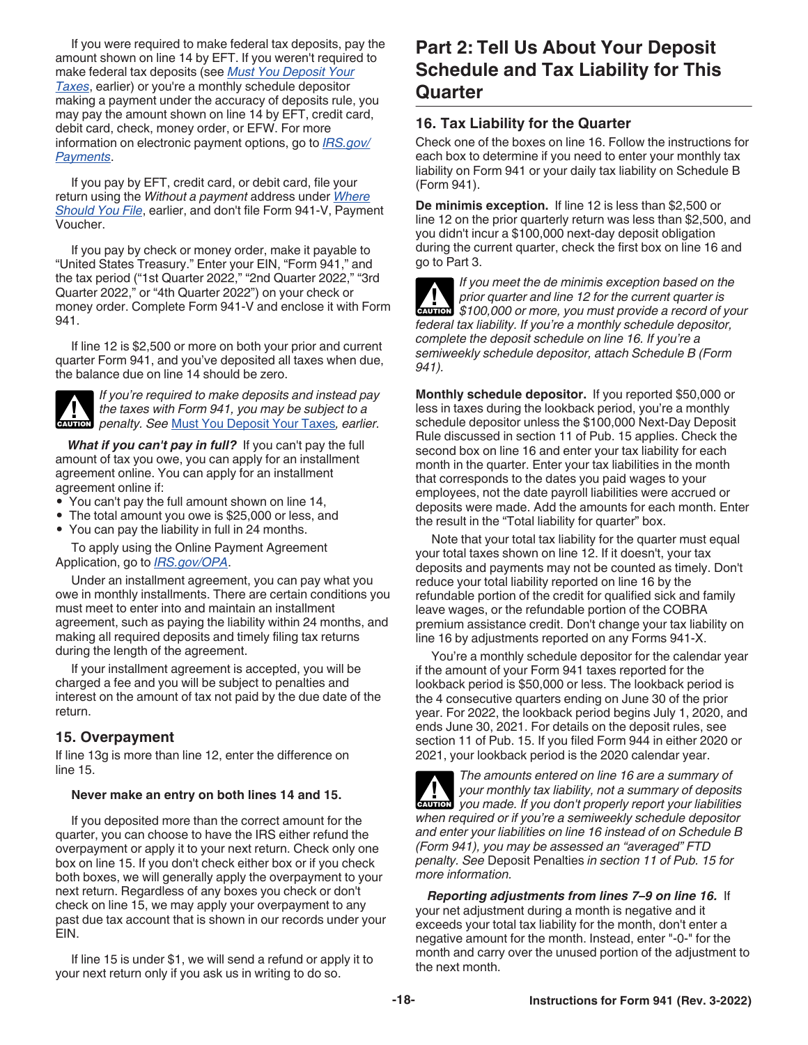<span id="page-17-0"></span>If you were required to make federal tax deposits, pay the amount shown on line 14 by EFT. If you weren't required to make federal tax deposits (see *[Must You Deposit Your](#page-8-0)  [Taxes](#page-8-0)*, earlier) or you're a monthly schedule depositor making a payment under the accuracy of deposits rule, you may pay the amount shown on line 14 by EFT, credit card, debit card, check, money order, or EFW. For more information on electronic payment options, go to *[IRS.gov/](https://www.irs.gov/payments) [Payments](https://www.irs.gov/payments)*.

If you pay by EFT, credit card, or debit card, file your return using the *Without a payment* address under *[Where](#page-7-0)  [Should You File](#page-7-0)*, earlier, and don't file Form 941-V, Payment Voucher.

If you pay by check or money order, make it payable to "United States Treasury." Enter your EIN, "Form 941," and the tax period ("1st Quarter 2022," "2nd Quarter 2022," "3rd Quarter 2022," or "4th Quarter 2022") on your check or money order. Complete Form 941-V and enclose it with Form 941.

If line 12 is \$2,500 or more on both your prior and current quarter Form 941, and you've deposited all taxes when due, the balance due on line 14 should be zero.



*If you're required to make deposits and instead pay the taxes with Form 941, you may be subject to a*  **h** *penalty. See [Must You Deposit Your Taxes](#page-8-0), earlier.*<br> **CAUTION** 

*What if you can't pay in full?* If you can't pay the full amount of tax you owe, you can apply for an installment agreement online. You can apply for an installment agreement online if:

- You can't pay the full amount shown on line 14,
- The total amount you owe is \$25,000 or less, and
- You can pay the liability in full in 24 months.

To apply using the Online Payment Agreement Application, go to *[IRS.gov/OPA](https://www.irs.gov/opa)*.

Under an installment agreement, you can pay what you owe in monthly installments. There are certain conditions you must meet to enter into and maintain an installment agreement, such as paying the liability within 24 months, and making all required deposits and timely filing tax returns during the length of the agreement.

If your installment agreement is accepted, you will be charged a fee and you will be subject to penalties and interest on the amount of tax not paid by the due date of the return.

## **15. Overpayment**

If line 13g is more than line 12, enter the difference on line 15.

#### **Never make an entry on both lines 14 and 15.**

If you deposited more than the correct amount for the quarter, you can choose to have the IRS either refund the overpayment or apply it to your next return. Check only one box on line 15. If you don't check either box or if you check both boxes, we will generally apply the overpayment to your next return. Regardless of any boxes you check or don't check on line 15, we may apply your overpayment to any past due tax account that is shown in our records under your EIN.

If line 15 is under \$1, we will send a refund or apply it to your next return only if you ask us in writing to do so.

# **Part 2: Tell Us About Your Deposit Schedule and Tax Liability for This Quarter**

## **16. Tax Liability for the Quarter**

Check one of the boxes on line 16. Follow the instructions for each box to determine if you need to enter your monthly tax liability on Form 941 or your daily tax liability on Schedule B (Form 941).

**De minimis exception.** If line 12 is less than \$2,500 or line 12 on the prior quarterly return was less than \$2,500, and you didn't incur a \$100,000 next-day deposit obligation during the current quarter, check the first box on line 16 and go to Part 3.

*If you meet the de minimis exception based on the prior quarter and line 12 for the current quarter is*  prior quarter and line 12 for the current quarter is<br>
\$100,000 or more, you must provide a record of your *federal tax liability. If you're a monthly schedule depositor, complete the deposit schedule on line 16. If you're a semiweekly schedule depositor, attach Schedule B (Form 941).*

**Monthly schedule depositor.** If you reported \$50,000 or less in taxes during the lookback period, you're a monthly schedule depositor unless the \$100,000 Next-Day Deposit Rule discussed in section 11 of Pub. 15 applies. Check the second box on line 16 and enter your tax liability for each month in the quarter. Enter your tax liabilities in the month that corresponds to the dates you paid wages to your employees, not the date payroll liabilities were accrued or deposits were made. Add the amounts for each month. Enter the result in the "Total liability for quarter" box.

Note that your total tax liability for the quarter must equal your total taxes shown on line 12. If it doesn't, your tax deposits and payments may not be counted as timely. Don't reduce your total liability reported on line 16 by the refundable portion of the credit for qualified sick and family leave wages, or the refundable portion of the COBRA premium assistance credit. Don't change your tax liability on line 16 by adjustments reported on any Forms 941-X.

You're a monthly schedule depositor for the calendar year if the amount of your Form 941 taxes reported for the lookback period is \$50,000 or less. The lookback period is the 4 consecutive quarters ending on June 30 of the prior year. For 2022, the lookback period begins July 1, 2020, and ends June 30, 2021. For details on the deposit rules, see section 11 of Pub. 15. If you filed Form 944 in either 2020 or 2021, your lookback period is the 2020 calendar year.

*The amounts entered on line 16 are a summary of your monthly tax liability, not a summary of deposits*  **your monthly tax liability, not a summary of deposits you made. If you don't properly report your liabilities** *when required or if you're a semiweekly schedule depositor and enter your liabilities on line 16 instead of on Schedule B (Form 941), you may be assessed an "averaged" FTD penalty. See* Deposit Penalties *in section 11 of Pub. 15 for more information.*

*Reporting adjustments from lines 7–9 on line 16.* If your net adjustment during a month is negative and it exceeds your total tax liability for the month, don't enter a negative amount for the month. Instead, enter "-0-" for the month and carry over the unused portion of the adjustment to the next month.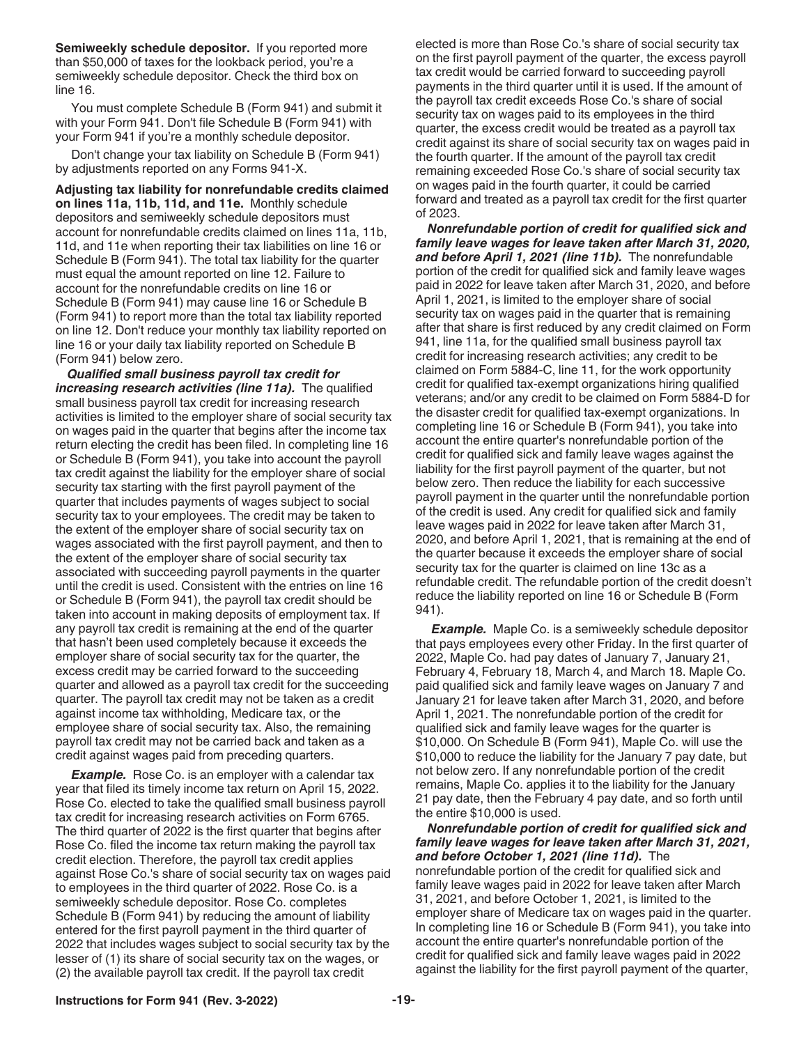<span id="page-18-0"></span>**Semiweekly schedule depositor.** If you reported more than \$50,000 of taxes for the lookback period, you're a semiweekly schedule depositor. Check the third box on line 16.

You must complete Schedule B (Form 941) and submit it with your Form 941. Don't file Schedule B (Form 941) with your Form 941 if you're a monthly schedule depositor.

Don't change your tax liability on Schedule B (Form 941) by adjustments reported on any Forms 941-X.

**Adjusting tax liability for nonrefundable credits claimed on lines 11a, 11b, 11d, and 11e.** Monthly schedule depositors and semiweekly schedule depositors must account for nonrefundable credits claimed on lines 11a, 11b, 11d, and 11e when reporting their tax liabilities on line 16 or Schedule B (Form 941). The total tax liability for the quarter must equal the amount reported on line 12. Failure to account for the nonrefundable credits on line 16 or Schedule B (Form 941) may cause line 16 or Schedule B (Form 941) to report more than the total tax liability reported on line 12. Don't reduce your monthly tax liability reported on line 16 or your daily tax liability reported on Schedule B (Form 941) below zero.

*Qualified small business payroll tax credit for increasing research activities (line 11a).* The qualified small business payroll tax credit for increasing research activities is limited to the employer share of social security tax on wages paid in the quarter that begins after the income tax return electing the credit has been filed. In completing line 16 or Schedule B (Form 941), you take into account the payroll tax credit against the liability for the employer share of social security tax starting with the first payroll payment of the quarter that includes payments of wages subject to social security tax to your employees. The credit may be taken to the extent of the employer share of social security tax on wages associated with the first payroll payment, and then to the extent of the employer share of social security tax associated with succeeding payroll payments in the quarter until the credit is used. Consistent with the entries on line 16 or Schedule B (Form 941), the payroll tax credit should be taken into account in making deposits of employment tax. If any payroll tax credit is remaining at the end of the quarter that hasn't been used completely because it exceeds the employer share of social security tax for the quarter, the excess credit may be carried forward to the succeeding quarter and allowed as a payroll tax credit for the succeeding quarter. The payroll tax credit may not be taken as a credit against income tax withholding, Medicare tax, or the employee share of social security tax. Also, the remaining payroll tax credit may not be carried back and taken as a credit against wages paid from preceding quarters.

**Example.** Rose Co. is an employer with a calendar tax year that filed its timely income tax return on April 15, 2022. Rose Co. elected to take the qualified small business payroll tax credit for increasing research activities on Form 6765. The third quarter of 2022 is the first quarter that begins after Rose Co. filed the income tax return making the payroll tax credit election. Therefore, the payroll tax credit applies against Rose Co.'s share of social security tax on wages paid to employees in the third quarter of 2022. Rose Co. is a semiweekly schedule depositor. Rose Co. completes Schedule B (Form 941) by reducing the amount of liability entered for the first payroll payment in the third quarter of 2022 that includes wages subject to social security tax by the lesser of (1) its share of social security tax on the wages, or (2) the available payroll tax credit. If the payroll tax credit

elected is more than Rose Co.'s share of social security tax on the first payroll payment of the quarter, the excess payroll tax credit would be carried forward to succeeding payroll payments in the third quarter until it is used. If the amount of the payroll tax credit exceeds Rose Co.'s share of social security tax on wages paid to its employees in the third quarter, the excess credit would be treated as a payroll tax credit against its share of social security tax on wages paid in the fourth quarter. If the amount of the payroll tax credit remaining exceeded Rose Co.'s share of social security tax on wages paid in the fourth quarter, it could be carried forward and treated as a payroll tax credit for the first quarter of 2023.

*Nonrefundable portion of credit for qualified sick and family leave wages for leave taken after March 31, 2020, and before April 1, 2021 (line 11b).* The nonrefundable portion of the credit for qualified sick and family leave wages paid in 2022 for leave taken after March 31, 2020, and before April 1, 2021, is limited to the employer share of social security tax on wages paid in the quarter that is remaining after that share is first reduced by any credit claimed on Form 941, line 11a, for the qualified small business payroll tax credit for increasing research activities; any credit to be claimed on Form 5884-C, line 11, for the work opportunity credit for qualified tax-exempt organizations hiring qualified veterans; and/or any credit to be claimed on Form 5884-D for the disaster credit for qualified tax-exempt organizations. In completing line 16 or Schedule B (Form 941), you take into account the entire quarter's nonrefundable portion of the credit for qualified sick and family leave wages against the liability for the first payroll payment of the quarter, but not below zero. Then reduce the liability for each successive payroll payment in the quarter until the nonrefundable portion of the credit is used. Any credit for qualified sick and family leave wages paid in 2022 for leave taken after March 31, 2020, and before April 1, 2021, that is remaining at the end of the quarter because it exceeds the employer share of social security tax for the quarter is claimed on line 13c as a refundable credit. The refundable portion of the credit doesn't reduce the liability reported on line 16 or Schedule B (Form 941).

**Example.** Maple Co. is a semiweekly schedule depositor that pays employees every other Friday. In the first quarter of 2022, Maple Co. had pay dates of January 7, January 21, February 4, February 18, March 4, and March 18. Maple Co. paid qualified sick and family leave wages on January 7 and January 21 for leave taken after March 31, 2020, and before April 1, 2021. The nonrefundable portion of the credit for qualified sick and family leave wages for the quarter is \$10,000. On Schedule B (Form 941), Maple Co. will use the \$10,000 to reduce the liability for the January 7 pay date, but not below zero. If any nonrefundable portion of the credit remains, Maple Co. applies it to the liability for the January 21 pay date, then the February 4 pay date, and so forth until the entire \$10,000 is used.

*Nonrefundable portion of credit for qualified sick and family leave wages for leave taken after March 31, 2021, and before October 1, 2021 (line 11d).* The nonrefundable portion of the credit for qualified sick and family leave wages paid in 2022 for leave taken after March 31, 2021, and before October 1, 2021, is limited to the employer share of Medicare tax on wages paid in the quarter. In completing line 16 or Schedule B (Form 941), you take into account the entire quarter's nonrefundable portion of the credit for qualified sick and family leave wages paid in 2022 against the liability for the first payroll payment of the quarter,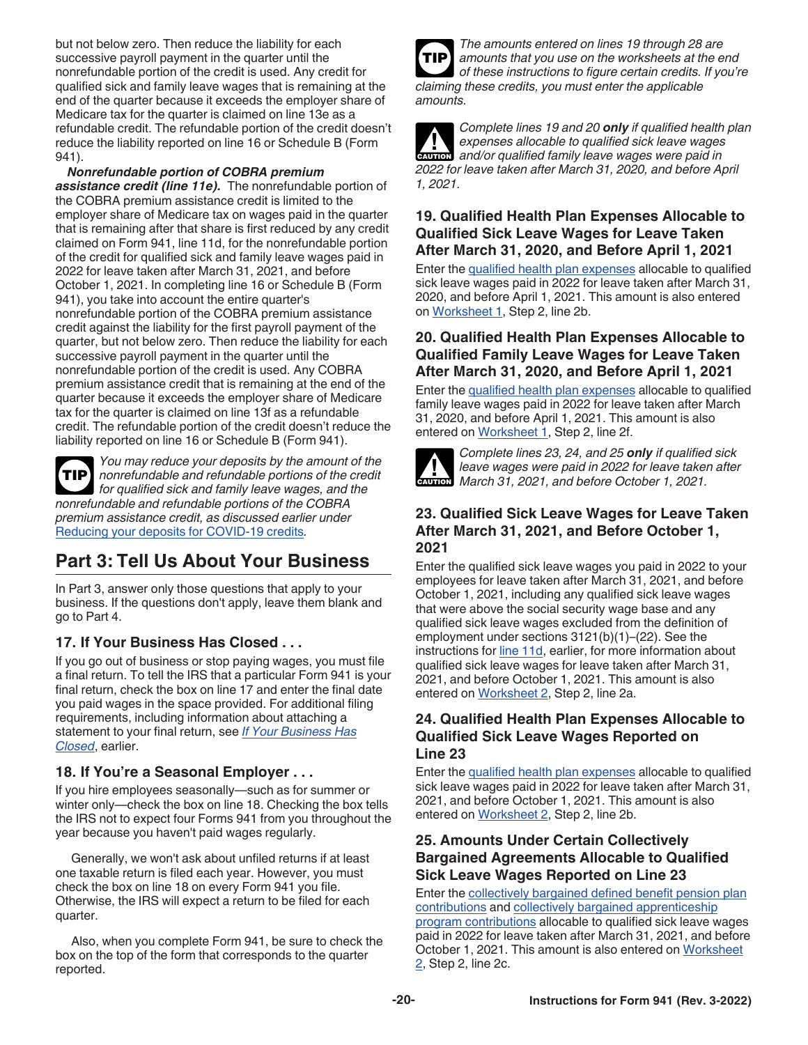<span id="page-19-0"></span>but not below zero. Then reduce the liability for each successive payroll payment in the quarter until the nonrefundable portion of the credit is used. Any credit for qualified sick and family leave wages that is remaining at the end of the quarter because it exceeds the employer share of Medicare tax for the quarter is claimed on line 13e as a refundable credit. The refundable portion of the credit doesn't reduce the liability reported on line 16 or Schedule B (Form 941).

*Nonrefundable portion of COBRA premium assistance credit (line 11e).* The nonrefundable portion of the COBRA premium assistance credit is limited to the employer share of Medicare tax on wages paid in the quarter that is remaining after that share is first reduced by any credit claimed on Form 941, line 11d, for the nonrefundable portion of the credit for qualified sick and family leave wages paid in 2022 for leave taken after March 31, 2021, and before October 1, 2021. In completing line 16 or Schedule B (Form 941), you take into account the entire quarter's nonrefundable portion of the COBRA premium assistance credit against the liability for the first payroll payment of the quarter, but not below zero. Then reduce the liability for each successive payroll payment in the quarter until the nonrefundable portion of the credit is used. Any COBRA premium assistance credit that is remaining at the end of the quarter because it exceeds the employer share of Medicare tax for the quarter is claimed on line 13f as a refundable credit. The refundable portion of the credit doesn't reduce the liability reported on line 16 or Schedule B (Form 941).

**TIP**

*You may reduce your deposits by the amount of the nonrefundable and refundable portions of the credit for qualified sick and family leave wages, and the nonrefundable and refundable portions of the COBRA premium assistance credit, as discussed earlier under*  [Reducing your deposits for COVID-19 credits](#page-8-0)*.*

# **Part 3: Tell Us About Your Business**

In Part 3, answer only those questions that apply to your business. If the questions don't apply, leave them blank and go to Part 4.

# **17. If Your Business Has Closed . . .**

If you go out of business or stop paying wages, you must file a final return. To tell the IRS that a particular Form 941 is your final return, check the box on line 17 and enter the final date you paid wages in the space provided. For additional filing requirements, including information about attaching a statement to your final return, see *[If Your Business Has](#page-6-0)  [Closed](#page-6-0)*, earlier.

# **18. If You're a Seasonal Employer . . .**

If you hire employees seasonally—such as for summer or winter only—check the box on line 18. Checking the box tells the IRS not to expect four Forms 941 from you throughout the year because you haven't paid wages regularly.

Generally, we won't ask about unfiled returns if at least one taxable return is filed each year. However, you must check the box on line 18 on every Form 941 you file. Otherwise, the IRS will expect a return to be filed for each quarter.

Also, when you complete Form 941, be sure to check the box on the top of the form that corresponds to the quarter reported.



*Complete lines 19 and 20 only if qualified health plan expenses allocable to qualified sick leave wages and/or qualified family leave wages were paid in 2022 for leave taken after March 31, 2020, and before April 1, 2021.* **CAUTION !**

## **19. Qualified Health Plan Expenses Allocable to Qualified Sick Leave Wages for Leave Taken After March 31, 2020, and Before April 1, 2021**

Enter the [qualified health plan expenses](#page-14-0) allocable to qualified sick leave wages paid in 2022 for leave taken after March 31, 2020, and before April 1, 2021. This amount is also entered on [Worksheet 1,](#page-21-0) Step 2, line 2b.

## **20. Qualified Health Plan Expenses Allocable to Qualified Family Leave Wages for Leave Taken After March 31, 2020, and Before April 1, 2021**

Enter the [qualified health plan expenses](#page-14-0) allocable to qualified family leave wages paid in 2022 for leave taken after March 31, 2020, and before April 1, 2021. This amount is also entered on [Worksheet 1](#page-21-0), Step 2, line 2f.



*Complete lines 23, 24, and 25 only if qualified sick leave wages were paid in 2022 for leave taken after March 31, 2021, and before October 1, 2021.*<br> **CAUTION** March 31, 2021, and before October 1, 2021.

## **23. Qualified Sick Leave Wages for Leave Taken After March 31, 2021, and Before October 1, 2021**

Enter the qualified sick leave wages you paid in 2022 to your employees for leave taken after March 31, 2021, and before October 1, 2021, including any qualified sick leave wages that were above the social security wage base and any qualified sick leave wages excluded from the definition of employment under sections 3121(b)(1)–(22). See the instructions for [line 11d,](#page-14-0) earlier, for more information about qualified sick leave wages for leave taken after March 31, 2021, and before October 1, 2021. This amount is also entered on [Worksheet 2](#page-22-0), Step 2, line 2a.

## **24. Qualified Health Plan Expenses Allocable to Qualified Sick Leave Wages Reported on Line 23**

Enter the [qualified health plan expenses](#page-14-0) allocable to qualified sick leave wages paid in 2022 for leave taken after March 31, 2021, and before October 1, 2021. This amount is also entered on [Worksheet 2](#page-22-0), Step 2, line 2b.

## **25. Amounts Under Certain Collectively Bargained Agreements Allocable to Qualified Sick Leave Wages Reported on Line 23**

Enter the [collectively bargained defined benefit pension plan](#page-15-0)  [contributions](#page-15-0) and [collectively bargained apprenticeship](#page-15-0) [program contributions](#page-15-0) allocable to qualified sick leave wages paid in 2022 for leave taken after March 31, 2021, and before October 1, 2021. This amount is also entered on [Worksheet](#page-22-0) [2](#page-22-0), Step 2, line 2c.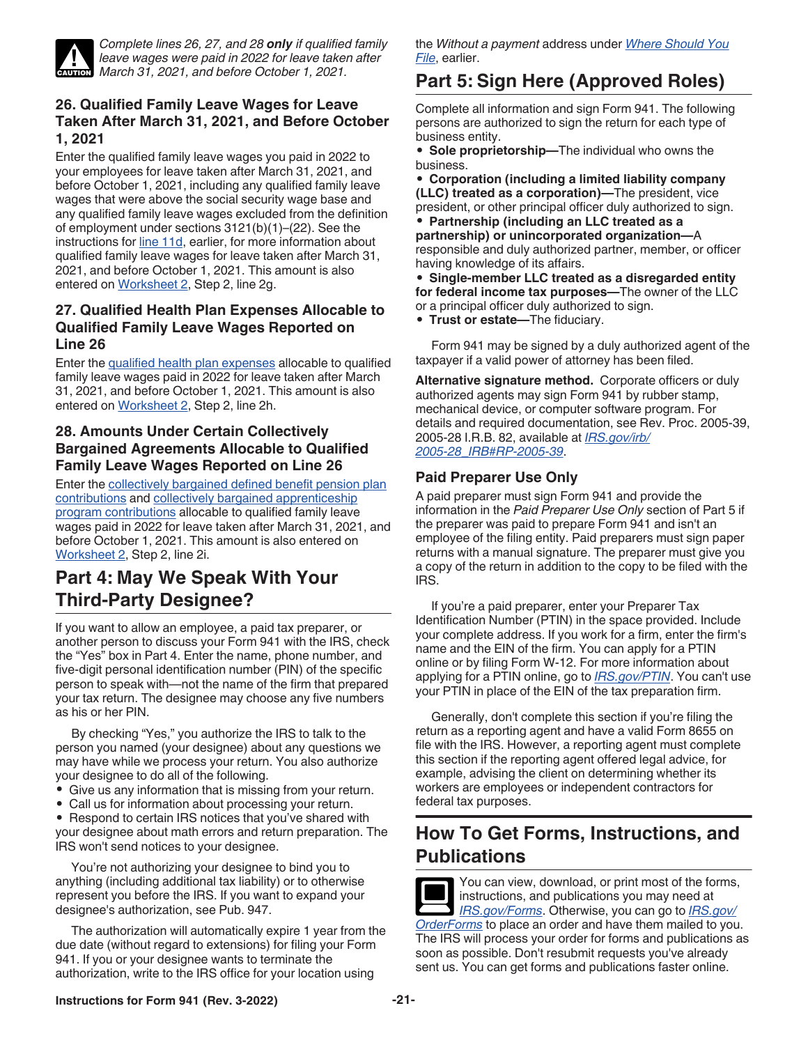<span id="page-20-0"></span>

*Complete lines 26, 27, and 28 only if qualified family leave wages were paid in 2022 for leave taken after March 31, 2021, and before October 1, 2021.* 

## **26. Qualified Family Leave Wages for Leave Taken After March 31, 2021, and Before October 1, 2021**

Enter the qualified family leave wages you paid in 2022 to your employees for leave taken after March 31, 2021, and before October 1, 2021, including any qualified family leave wages that were above the social security wage base and any qualified family leave wages excluded from the definition of employment under sections 3121(b)(1)–(22). See the instructions for [line 11d,](#page-14-0) earlier, for more information about qualified family leave wages for leave taken after March 31, 2021, and before October 1, 2021. This amount is also entered on [Worksheet 2](#page-22-0), Step 2, line 2g.

#### **27. Qualified Health Plan Expenses Allocable to Qualified Family Leave Wages Reported on Line 26**

Enter the [qualified health plan expenses](#page-14-0) allocable to qualified family leave wages paid in 2022 for leave taken after March 31, 2021, and before October 1, 2021. This amount is also entered on [Worksheet 2](#page-22-0), Step 2, line 2h.

## **28. Amounts Under Certain Collectively Bargained Agreements Allocable to Qualified Family Leave Wages Reported on Line 26**

Enter the [collectively bargained defined benefit pension plan](#page-15-0)  [contributions](#page-15-0) and [collectively bargained apprenticeship](#page-15-0) [program contributions](#page-15-0) allocable to qualified family leave wages paid in 2022 for leave taken after March 31, 2021, and before October 1, 2021. This amount is also entered on [Worksheet 2,](#page-22-0) Step 2, line 2i.

# **Part 4: May We Speak With Your Third-Party Designee?**

If you want to allow an employee, a paid tax preparer, or another person to discuss your Form 941 with the IRS, check the "Yes" box in Part 4. Enter the name, phone number, and five-digit personal identification number (PIN) of the specific person to speak with—not the name of the firm that prepared your tax return. The designee may choose any five numbers as his or her PIN.

By checking "Yes," you authorize the IRS to talk to the person you named (your designee) about any questions we may have while we process your return. You also authorize your designee to do all of the following.

- Give us any information that is missing from your return.
- Call us for information about processing your return.

• Respond to certain IRS notices that you've shared with your designee about math errors and return preparation. The IRS won't send notices to your designee.

You're not authorizing your designee to bind you to anything (including additional tax liability) or to otherwise represent you before the IRS. If you want to expand your designee's authorization, see Pub. 947.

The authorization will automatically expire 1 year from the due date (without regard to extensions) for filing your Form 941. If you or your designee wants to terminate the authorization, write to the IRS office for your location using

the *Without a payment* address under *[Where Should You](#page-7-0)  [File](#page-7-0)*, earlier.

# **Part 5: Sign Here (Approved Roles)**

Complete all information and sign Form 941. The following persons are authorized to sign the return for each type of business entity.

• **Sole proprietorship—**The individual who owns the business.

• **Corporation (including a limited liability company (LLC) treated as a corporation)—**The president, vice president, or other principal officer duly authorized to sign. • **Partnership (including an LLC treated as a partnership) or unincorporated organization—**A responsible and duly authorized partner, member, or officer having knowledge of its affairs.

• **Single-member LLC treated as a disregarded entity for federal income tax purposes—**The owner of the LLC or a principal officer duly authorized to sign.

• **Trust or estate—**The fiduciary.

Form 941 may be signed by a duly authorized agent of the taxpayer if a valid power of attorney has been filed.

**Alternative signature method.** Corporate officers or duly authorized agents may sign Form 941 by rubber stamp, mechanical device, or computer software program. For details and required documentation, see Rev. Proc. 2005-39, 2005-28 I.R.B. 82, available at *[IRS.gov/irb/](https://www.irs.gov/irb/2005-28_IRB#RP-2005-39) [2005-28\\_IRB#RP-2005-39](https://www.irs.gov/irb/2005-28_IRB#RP-2005-39)*.

## **Paid Preparer Use Only**

A paid preparer must sign Form 941 and provide the information in the *Paid Preparer Use Only* section of Part 5 if the preparer was paid to prepare Form 941 and isn't an employee of the filing entity. Paid preparers must sign paper returns with a manual signature. The preparer must give you a copy of the return in addition to the copy to be filed with the IRS.

If you're a paid preparer, enter your Preparer Tax Identification Number (PTIN) in the space provided. Include your complete address. If you work for a firm, enter the firm's name and the EIN of the firm. You can apply for a PTIN online or by filing Form W-12. For more information about applying for a PTIN online, go to *[IRS.gov/PTIN](https://www.irs.gov/ptin)*. You can't use your PTIN in place of the EIN of the tax preparation firm.

Generally, don't complete this section if you're filing the return as a reporting agent and have a valid Form 8655 on file with the IRS. However, a reporting agent must complete this section if the reporting agent offered legal advice, for example, advising the client on determining whether its workers are employees or independent contractors for federal tax purposes.

# **How To Get Forms, Instructions, and Publications**

You can view, download, or print most of the forms, instructions, and publications you may need at *[IRS.gov/Forms](https://www.irs.gov/forms)*. Otherwise, you can go to *[IRS.gov/](https://www.irs.gov/orderforms) [OrderForms](https://www.irs.gov/orderforms)* to place an order and have them mailed to you. The IRS will process your order for forms and publications as soon as possible. Don't resubmit requests you've already sent us. You can get forms and publications faster online.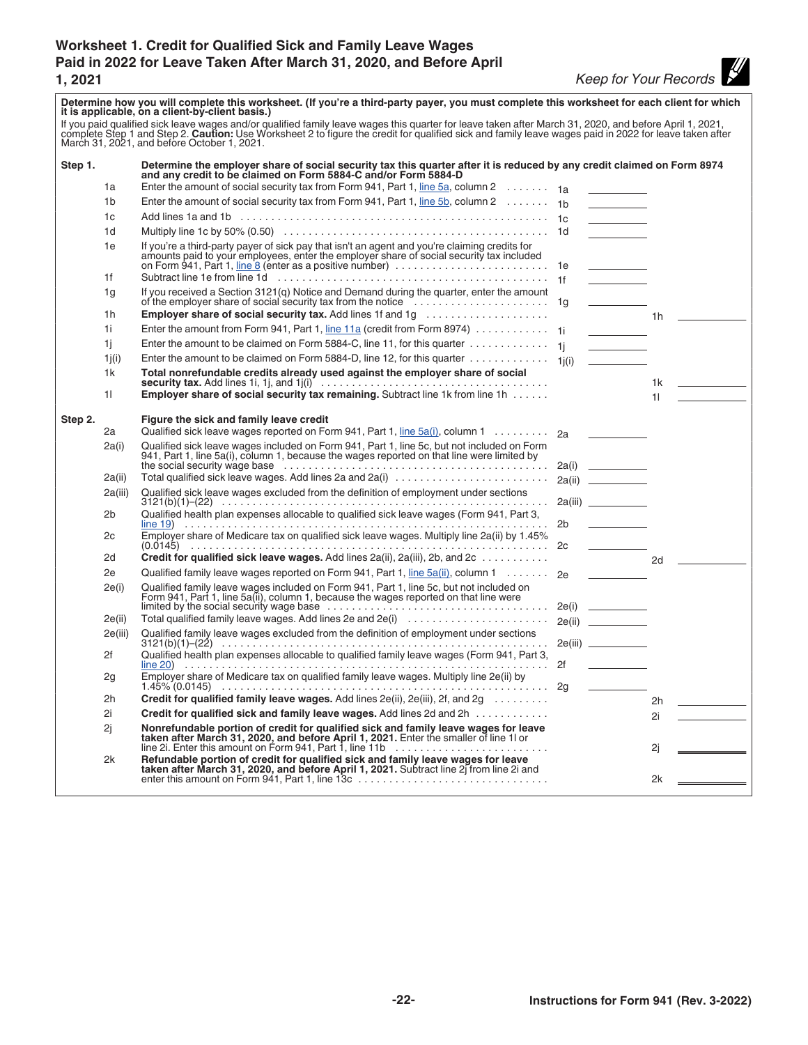# <span id="page-21-0"></span>**Worksheet 1. Credit for Qualified Sick and Family Leave Wages Paid in 2022 for Leave Taken After March 31, 2020, and Before April**

**14**<br><u>1921 - Keep for Your Records</u>

| Determine how you will complete this worksheet. (If you're a third-party payer, you must complete this worksheet for each client for which<br>it is applicable, on a client-by-client basis.)                                  |                |                                                                                                                                                                                                                                                       |  |                                                                                                                                                                                                                                      |    |                        |
|--------------------------------------------------------------------------------------------------------------------------------------------------------------------------------------------------------------------------------|----------------|-------------------------------------------------------------------------------------------------------------------------------------------------------------------------------------------------------------------------------------------------------|--|--------------------------------------------------------------------------------------------------------------------------------------------------------------------------------------------------------------------------------------|----|------------------------|
| If you paid qualified sick leave wages and/or qualified family leave wages this quarter for leave taken after March 31, 2020, and before April 1, 2021, complete Step 1 and Step 2. Caution: Use Worksheet 2 to figure the cre |                |                                                                                                                                                                                                                                                       |  |                                                                                                                                                                                                                                      |    |                        |
| Step 1.                                                                                                                                                                                                                        |                | Determine the employer share of social security tax this quarter after it is reduced by any credit claimed on Form 8974<br>and any credit to be claimed on Form 5884-C and/or Form 5884-D                                                             |  |                                                                                                                                                                                                                                      |    |                        |
|                                                                                                                                                                                                                                | 1a             | Enter the amount of social security tax from Form 941, Part 1, line 5a, column 2 $\ldots \ldots$ 1a                                                                                                                                                   |  |                                                                                                                                                                                                                                      |    |                        |
|                                                                                                                                                                                                                                | 1 <sub>b</sub> | Enter the amount of social security tax from Form 941, Part 1, line 5b, column 2 $\dots \dots$ 1b                                                                                                                                                     |  | <u> Albanya (Albanya)</u>                                                                                                                                                                                                            |    |                        |
|                                                                                                                                                                                                                                | 1c             |                                                                                                                                                                                                                                                       |  | $\mathcal{L}_{\text{max}}$ and $\mathcal{L}_{\text{max}}$                                                                                                                                                                            |    |                        |
|                                                                                                                                                                                                                                | 1d             |                                                                                                                                                                                                                                                       |  | <u> Albanya (Albanya)</u>                                                                                                                                                                                                            |    |                        |
|                                                                                                                                                                                                                                | 1e<br>1f       | If you're a third-party payer of sick pay that isn't an agent and you're claiming credits for<br>amounts paid to your employees, enter the employer share of social security tax included<br>on Form 941, Part 1, line 8 (enter as a positive number) |  |                                                                                                                                                                                                                                      |    |                        |
|                                                                                                                                                                                                                                |                |                                                                                                                                                                                                                                                       |  |                                                                                                                                                                                                                                      |    |                        |
|                                                                                                                                                                                                                                | 1g<br>1h       | <b>Employer share of social security tax.</b> Add lines 1f and 1g                                                                                                                                                                                     |  |                                                                                                                                                                                                                                      |    | $1h$ $\qquad$          |
|                                                                                                                                                                                                                                | 1i             | Enter the amount from Form 941, Part 1, line 11a (credit from Form 8974) 1j                                                                                                                                                                           |  | <b>Contract Contract</b>                                                                                                                                                                                                             |    |                        |
|                                                                                                                                                                                                                                | 1i.            | Enter the amount to be claimed on Form 5884-C, line 11, for this quarter $\dots\dots\dots\dots\dots$                                                                                                                                                  |  |                                                                                                                                                                                                                                      |    |                        |
|                                                                                                                                                                                                                                | 1j(i)          | Enter the amount to be claimed on Form 5884-D, line 12, for this quarter $\dots\dots\dots\dots\dots\dots$ 1j(i)                                                                                                                                       |  | <b>Contract Contract</b>                                                                                                                                                                                                             |    |                        |
|                                                                                                                                                                                                                                | 1k             | Total nonrefundable credits already used against the employer share of social                                                                                                                                                                         |  |                                                                                                                                                                                                                                      |    |                        |
|                                                                                                                                                                                                                                |                | security tax. Add lines 1i, 1j, and 1j(i) $\ldots \ldots \ldots \ldots \ldots \ldots \ldots \ldots \ldots \ldots \ldots$                                                                                                                              |  |                                                                                                                                                                                                                                      |    |                        |
|                                                                                                                                                                                                                                | 11.            | Employer share of social security tax remaining. Subtract line 1k from line 1h                                                                                                                                                                        |  |                                                                                                                                                                                                                                      |    | $11$ and $11$ and $11$ |
| Step 2.                                                                                                                                                                                                                        |                | Figure the sick and family leave credit                                                                                                                                                                                                               |  |                                                                                                                                                                                                                                      |    |                        |
|                                                                                                                                                                                                                                | 2a             | Qualified sick leave wages reported on Form 941, Part 1, line 5a(i), column 1 2a                                                                                                                                                                      |  |                                                                                                                                                                                                                                      |    |                        |
|                                                                                                                                                                                                                                | 2a(i)          | Qualified sick leave wages included on Form 941, Part 1, line 5c, but not included on Form                                                                                                                                                            |  |                                                                                                                                                                                                                                      |    |                        |
|                                                                                                                                                                                                                                |                | 941, Part 1, line 5a(i), column 1, because the wages reported on that line were limited by                                                                                                                                                            |  |                                                                                                                                                                                                                                      |    |                        |
|                                                                                                                                                                                                                                | 2a(ii)         | Total qualified sick leave wages. Add lines 2a and 2a(i)                                                                                                                                                                                              |  | 2a(ii)                                                                                                                                                                                                                               |    |                        |
|                                                                                                                                                                                                                                | 2a(iii)        | Qualified sick leave wages excluded from the definition of employment under sections                                                                                                                                                                  |  |                                                                                                                                                                                                                                      |    |                        |
|                                                                                                                                                                                                                                | 2b             | Qualified health plan expenses allocable to qualified sick leave wages (Form 941, Part 3,                                                                                                                                                             |  | 2b                                                                                                                                                                                                                                   |    |                        |
|                                                                                                                                                                                                                                | 2c             |                                                                                                                                                                                                                                                       |  |                                                                                                                                                                                                                                      |    |                        |
|                                                                                                                                                                                                                                | 2d             | Credit for qualified sick leave wages. Add lines $2a(ii)$ , $2a(iii)$ , $2b$ , and $2c \ldots \ldots \ldots$                                                                                                                                          |  |                                                                                                                                                                                                                                      | 2d |                        |
|                                                                                                                                                                                                                                | 2e             | Qualified family leave wages reported on Form 941, Part 1, line 5a(ii), column 1 2e                                                                                                                                                                   |  | <u> Constantinople de la provincia de la provincia de la provincia de la provincia de la provincia de la provincia de la provincia de la provincia de la provincia de la provincia de la provincia de la provincia de la provinc</u> |    |                        |
|                                                                                                                                                                                                                                | 2e(i)          | Qualified family leave wages included on Form 941, Part 1, line 5c, but not included on<br>Form 941, Part 1, line 5a(ii), column 1, because the wages reported on that line were<br>limited by the social security wage base                          |  |                                                                                                                                                                                                                                      |    |                        |
|                                                                                                                                                                                                                                | 2e(ii)         | Total qualified family leave wages. Add lines 2e and 2e(i)                                                                                                                                                                                            |  | 2e(ii)                                                                                                                                                                                                                               |    |                        |
|                                                                                                                                                                                                                                | 2e(iii)        | Qualified family leave wages excluded from the definition of employment under sections                                                                                                                                                                |  | 2e(iii) __________                                                                                                                                                                                                                   |    |                        |
|                                                                                                                                                                                                                                | 2f             | Qualified health plan expenses allocable to qualified family leave wages (Form 941, Part 3,                                                                                                                                                           |  |                                                                                                                                                                                                                                      |    |                        |
|                                                                                                                                                                                                                                | 2g             | Employer share of Medicare tax on qualified family leave wages. Multiply line 2e(ii) by                                                                                                                                                               |  |                                                                                                                                                                                                                                      |    |                        |
|                                                                                                                                                                                                                                | 2h             | Credit for qualified family leave wages. Add lines 2e(ii), 2e(iii), 2f, and 2g                                                                                                                                                                        |  |                                                                                                                                                                                                                                      | 2h |                        |
|                                                                                                                                                                                                                                | 2i             | Credit for qualified sick and family leave wages. Add lines 2d and 2h                                                                                                                                                                                 |  |                                                                                                                                                                                                                                      | 2i |                        |
|                                                                                                                                                                                                                                | 2j             | Nonrefundable portion of credit for qualified sick and family leave wages for leave taken after March 31, 2020, and before April 1, 2021. Enter the smaller of line 1l or line 2i. Enter this amount on Form 941, Part 1, line                        |  |                                                                                                                                                                                                                                      | 2j |                        |
|                                                                                                                                                                                                                                | 2k             | Refundable portion of credit for qualified sick and family leave wages for leave taken after March 31, 2020, and before April 1, 2021. Subtract line 2j from line 2i and enter this amount on Form 941, Part 1, line 13c                              |  |                                                                                                                                                                                                                                      |    |                        |
|                                                                                                                                                                                                                                |                |                                                                                                                                                                                                                                                       |  |                                                                                                                                                                                                                                      | 2k |                        |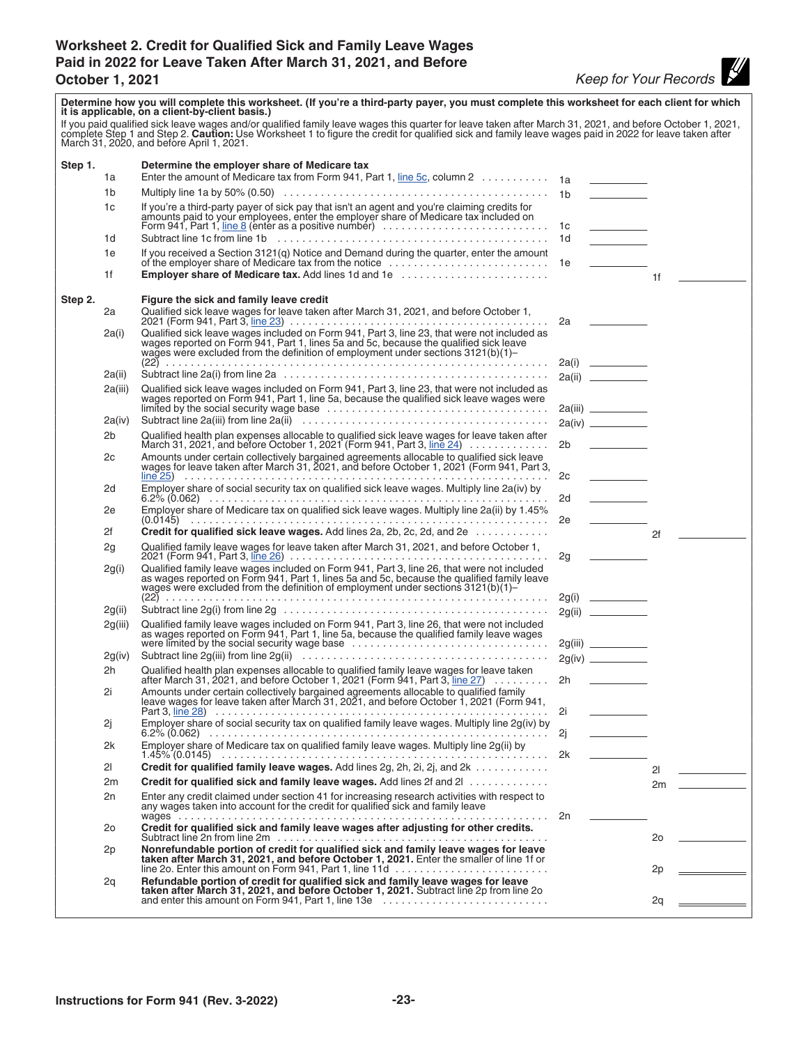# <span id="page-22-0"></span>**Worksheet 2. Credit for Qualified Sick and Family Leave Wages Paid in 2022 for Leave Taken After March 31, 2021, and Before October 1, 2021** *Keep for Your Records*

| complete Step 1 and Step 2. Caution: Use Worksheet 1 to figure the credit for qualified sick and family leave wages paid in 2022 for leave taken after<br>March 31, 2020, and before April 1, 2021.<br>Step 1.<br>Determine the employer share of Medicare tax<br>Enter the amount of Medicare tax from Form 941, Part 1, line 5c, column 2 1a<br>1a<br>1b<br>1 <sub>b</sub><br>If you're a third-party payer of sick pay that isn't an agent and you're claiming credits for amounts paid to your employees, enter the employer share of Medicare tax included on<br>1c<br>Form 941, Part 1, line 8 (enter as a positive number)<br>1с<br>Subtract line 1c from line 1b (edge-energiese-energiese-energiese-energiese-energiese-energiese-energiese-energiese-<br>1d<br>1d<br><u>and the state of the state</u><br>1e<br>Employer share of Medicare tax. Add lines 1d and 1e<br>1f<br>1f<br>Step 2.<br>Figure the sick and family leave credit<br>Qualified sick leave wages for leave taken after March 31, 2021, and before October 1,<br>2a<br>2a <u>_</u> ______<br>Qualified sick leave wages included on Form 941, Part 3, line 23, that were not included as<br>2a(i) | Determine how you will complete this worksheet. (If you're a third-party payer, you must complete this worksheet for each client for which<br>it is applicable, on a client-by-client basis.) |                                                                                                                                                                           |  |  |  |  |  |
|-------------------------------------------------------------------------------------------------------------------------------------------------------------------------------------------------------------------------------------------------------------------------------------------------------------------------------------------------------------------------------------------------------------------------------------------------------------------------------------------------------------------------------------------------------------------------------------------------------------------------------------------------------------------------------------------------------------------------------------------------------------------------------------------------------------------------------------------------------------------------------------------------------------------------------------------------------------------------------------------------------------------------------------------------------------------------------------------------------------------------------------------------------------------------------|-----------------------------------------------------------------------------------------------------------------------------------------------------------------------------------------------|---------------------------------------------------------------------------------------------------------------------------------------------------------------------------|--|--|--|--|--|
|                                                                                                                                                                                                                                                                                                                                                                                                                                                                                                                                                                                                                                                                                                                                                                                                                                                                                                                                                                                                                                                                                                                                                                               | If you paid qualified sick leave wages and/or qualified family leave wages this quarter for leave taken after March 31, 2021, and before October 1, 2021,                                     |                                                                                                                                                                           |  |  |  |  |  |
|                                                                                                                                                                                                                                                                                                                                                                                                                                                                                                                                                                                                                                                                                                                                                                                                                                                                                                                                                                                                                                                                                                                                                                               |                                                                                                                                                                                               |                                                                                                                                                                           |  |  |  |  |  |
|                                                                                                                                                                                                                                                                                                                                                                                                                                                                                                                                                                                                                                                                                                                                                                                                                                                                                                                                                                                                                                                                                                                                                                               |                                                                                                                                                                                               |                                                                                                                                                                           |  |  |  |  |  |
|                                                                                                                                                                                                                                                                                                                                                                                                                                                                                                                                                                                                                                                                                                                                                                                                                                                                                                                                                                                                                                                                                                                                                                               |                                                                                                                                                                                               |                                                                                                                                                                           |  |  |  |  |  |
|                                                                                                                                                                                                                                                                                                                                                                                                                                                                                                                                                                                                                                                                                                                                                                                                                                                                                                                                                                                                                                                                                                                                                                               |                                                                                                                                                                                               |                                                                                                                                                                           |  |  |  |  |  |
|                                                                                                                                                                                                                                                                                                                                                                                                                                                                                                                                                                                                                                                                                                                                                                                                                                                                                                                                                                                                                                                                                                                                                                               |                                                                                                                                                                                               |                                                                                                                                                                           |  |  |  |  |  |
|                                                                                                                                                                                                                                                                                                                                                                                                                                                                                                                                                                                                                                                                                                                                                                                                                                                                                                                                                                                                                                                                                                                                                                               |                                                                                                                                                                                               |                                                                                                                                                                           |  |  |  |  |  |
|                                                                                                                                                                                                                                                                                                                                                                                                                                                                                                                                                                                                                                                                                                                                                                                                                                                                                                                                                                                                                                                                                                                                                                               |                                                                                                                                                                                               |                                                                                                                                                                           |  |  |  |  |  |
|                                                                                                                                                                                                                                                                                                                                                                                                                                                                                                                                                                                                                                                                                                                                                                                                                                                                                                                                                                                                                                                                                                                                                                               |                                                                                                                                                                                               |                                                                                                                                                                           |  |  |  |  |  |
|                                                                                                                                                                                                                                                                                                                                                                                                                                                                                                                                                                                                                                                                                                                                                                                                                                                                                                                                                                                                                                                                                                                                                                               |                                                                                                                                                                                               |                                                                                                                                                                           |  |  |  |  |  |
|                                                                                                                                                                                                                                                                                                                                                                                                                                                                                                                                                                                                                                                                                                                                                                                                                                                                                                                                                                                                                                                                                                                                                                               |                                                                                                                                                                                               | wages reported on Form 941, Part 1, lines 5a and 5c, because the qualified sick leave<br>wages were excluded from the definition of employment under sections 3121(b)(1)- |  |  |  |  |  |
|                                                                                                                                                                                                                                                                                                                                                                                                                                                                                                                                                                                                                                                                                                                                                                                                                                                                                                                                                                                                                                                                                                                                                                               |                                                                                                                                                                                               |                                                                                                                                                                           |  |  |  |  |  |
| 2a(ii)<br>Qualified sick leave wages included on Form 941, Part 3, line 23, that were not included as wages reported on Form 941, Part 1, line 5a, because the qualified sick leave wages were<br>2a(iii)                                                                                                                                                                                                                                                                                                                                                                                                                                                                                                                                                                                                                                                                                                                                                                                                                                                                                                                                                                     |                                                                                                                                                                                               |                                                                                                                                                                           |  |  |  |  |  |
|                                                                                                                                                                                                                                                                                                                                                                                                                                                                                                                                                                                                                                                                                                                                                                                                                                                                                                                                                                                                                                                                                                                                                                               |                                                                                                                                                                                               |                                                                                                                                                                           |  |  |  |  |  |
| 2a(iv)                                                                                                                                                                                                                                                                                                                                                                                                                                                                                                                                                                                                                                                                                                                                                                                                                                                                                                                                                                                                                                                                                                                                                                        |                                                                                                                                                                                               |                                                                                                                                                                           |  |  |  |  |  |
| 2b<br>Qualified health plan expenses allocable to qualified sick leave wages for leave taken after March 31, 2021, and before October 1, 2021 (Form 941, Part 3, line 24)<br>2 <sub>b</sub><br>2c                                                                                                                                                                                                                                                                                                                                                                                                                                                                                                                                                                                                                                                                                                                                                                                                                                                                                                                                                                             |                                                                                                                                                                                               |                                                                                                                                                                           |  |  |  |  |  |
| Amounts under certain collectively bargained agreements allocable to qualified sick leave wages for leave taken after March 31, 2021, and before October 1, 2021 (Form 941, Part 3,<br>2c                                                                                                                                                                                                                                                                                                                                                                                                                                                                                                                                                                                                                                                                                                                                                                                                                                                                                                                                                                                     |                                                                                                                                                                                               |                                                                                                                                                                           |  |  |  |  |  |
| Employer share of social security tax on qualified sick leave wages. Multiply line 2a(iv) by<br>2d<br><u>and the state</u><br>2d -                                                                                                                                                                                                                                                                                                                                                                                                                                                                                                                                                                                                                                                                                                                                                                                                                                                                                                                                                                                                                                            |                                                                                                                                                                                               |                                                                                                                                                                           |  |  |  |  |  |
| 2e<br>2e                                                                                                                                                                                                                                                                                                                                                                                                                                                                                                                                                                                                                                                                                                                                                                                                                                                                                                                                                                                                                                                                                                                                                                      |                                                                                                                                                                                               |                                                                                                                                                                           |  |  |  |  |  |
| 2f<br><b>Credit for qualified sick leave wages.</b> Add lines 2a, 2b, 2c, 2d, and 2e $\ldots \ldots \ldots$<br>2f                                                                                                                                                                                                                                                                                                                                                                                                                                                                                                                                                                                                                                                                                                                                                                                                                                                                                                                                                                                                                                                             |                                                                                                                                                                                               |                                                                                                                                                                           |  |  |  |  |  |
| Qualified family leave wages for leave taken after March 31, 2021, and before October 1,<br>2g<br>$\frac{1}{2}$ and $\frac{1}{2}$ and $\frac{1}{2}$ and $\frac{1}{2}$ and $\frac{1}{2}$ and $\frac{1}{2}$<br>2g                                                                                                                                                                                                                                                                                                                                                                                                                                                                                                                                                                                                                                                                                                                                                                                                                                                                                                                                                               |                                                                                                                                                                                               |                                                                                                                                                                           |  |  |  |  |  |
| Qualified family leave wages included on Form 941, Part 3, line 26, that were not included<br>2g(i)<br>as wages reported on Form 941, Part 1, lines 5a and 5c, because the qualified family leave wages were excluded from the definition of employment under sections 3121(b)(1)-                                                                                                                                                                                                                                                                                                                                                                                                                                                                                                                                                                                                                                                                                                                                                                                                                                                                                            |                                                                                                                                                                                               |                                                                                                                                                                           |  |  |  |  |  |
| 2g(ii)                                                                                                                                                                                                                                                                                                                                                                                                                                                                                                                                                                                                                                                                                                                                                                                                                                                                                                                                                                                                                                                                                                                                                                        |                                                                                                                                                                                               |                                                                                                                                                                           |  |  |  |  |  |
| Qualified family leave wages included on Form 941, Part 3, line 26, that were not included<br>2g(iii)<br>as wages reported on Form 941, Part 1, line 5a, because the qualified family leave wages                                                                                                                                                                                                                                                                                                                                                                                                                                                                                                                                                                                                                                                                                                                                                                                                                                                                                                                                                                             |                                                                                                                                                                                               |                                                                                                                                                                           |  |  |  |  |  |
| were limited by the social security wage base<br>2g(iv)                                                                                                                                                                                                                                                                                                                                                                                                                                                                                                                                                                                                                                                                                                                                                                                                                                                                                                                                                                                                                                                                                                                       |                                                                                                                                                                                               |                                                                                                                                                                           |  |  |  |  |  |
| Qualified health plan expenses allocable to qualified family leave wages for leave taken<br>2h                                                                                                                                                                                                                                                                                                                                                                                                                                                                                                                                                                                                                                                                                                                                                                                                                                                                                                                                                                                                                                                                                |                                                                                                                                                                                               |                                                                                                                                                                           |  |  |  |  |  |
| after March 31, 2021, and before October 1, 2021 (Form 941, Part 3, line 27)<br>2h a<br>Amounts under certain collectively bargained agreements allocable to qualified family<br>2i                                                                                                                                                                                                                                                                                                                                                                                                                                                                                                                                                                                                                                                                                                                                                                                                                                                                                                                                                                                           |                                                                                                                                                                                               |                                                                                                                                                                           |  |  |  |  |  |
| leave wages for leave taken after March 31, 2021, and before October 1, 2021 (Form 941,<br>2i                                                                                                                                                                                                                                                                                                                                                                                                                                                                                                                                                                                                                                                                                                                                                                                                                                                                                                                                                                                                                                                                                 |                                                                                                                                                                                               |                                                                                                                                                                           |  |  |  |  |  |
| Employer share of social security tax on qualified family leave wages. Multiply line 2g(iv) by<br>2j<br>2i                                                                                                                                                                                                                                                                                                                                                                                                                                                                                                                                                                                                                                                                                                                                                                                                                                                                                                                                                                                                                                                                    |                                                                                                                                                                                               |                                                                                                                                                                           |  |  |  |  |  |
| Employer share of Medicare tax on qualified family leave wages. Multiply line 2g(ii) by<br>2k<br>2k                                                                                                                                                                                                                                                                                                                                                                                                                                                                                                                                                                                                                                                                                                                                                                                                                                                                                                                                                                                                                                                                           |                                                                                                                                                                                               |                                                                                                                                                                           |  |  |  |  |  |
| Credit for qualified family leave wages. Add lines 2g, 2h, 2i, 2j, and 2k<br>2 <sup>1</sup><br>21                                                                                                                                                                                                                                                                                                                                                                                                                                                                                                                                                                                                                                                                                                                                                                                                                                                                                                                                                                                                                                                                             |                                                                                                                                                                                               |                                                                                                                                                                           |  |  |  |  |  |
| <b>Credit for qualified sick and family leave wages.</b> Add lines 2f and 21<br>2m<br>2m                                                                                                                                                                                                                                                                                                                                                                                                                                                                                                                                                                                                                                                                                                                                                                                                                                                                                                                                                                                                                                                                                      |                                                                                                                                                                                               |                                                                                                                                                                           |  |  |  |  |  |
| 2n<br>Enter any credit claimed under section 41 for increasing research activities with respect to any wages taken into account for the credit for qualified sick and family leave                                                                                                                                                                                                                                                                                                                                                                                                                                                                                                                                                                                                                                                                                                                                                                                                                                                                                                                                                                                            |                                                                                                                                                                                               |                                                                                                                                                                           |  |  |  |  |  |
| Credit for qualified sick and family leave wages after adjusting for other credits.<br>2 <sub>o</sub><br>20                                                                                                                                                                                                                                                                                                                                                                                                                                                                                                                                                                                                                                                                                                                                                                                                                                                                                                                                                                                                                                                                   |                                                                                                                                                                                               |                                                                                                                                                                           |  |  |  |  |  |
| Nonrefundable portion of credit for qualified sick and family leave wages for leave<br>2p<br>taken after March 31, 2021, and before October 1, 2021. Enter the smaller of line 1f or                                                                                                                                                                                                                                                                                                                                                                                                                                                                                                                                                                                                                                                                                                                                                                                                                                                                                                                                                                                          |                                                                                                                                                                                               |                                                                                                                                                                           |  |  |  |  |  |
| line 2o. Enter this amount on Form 941, Part 1, line 11d<br>2p<br>Refundable portion of credit for qualified sick and family leave wages for leave<br>2q                                                                                                                                                                                                                                                                                                                                                                                                                                                                                                                                                                                                                                                                                                                                                                                                                                                                                                                                                                                                                      |                                                                                                                                                                                               |                                                                                                                                                                           |  |  |  |  |  |
| taken after March 31, 2021, and before October 1, 2021. Subtract line 2p from line 2o and enter this amount on Form 941, Part 1, line 13e<br>2q                                                                                                                                                                                                                                                                                                                                                                                                                                                                                                                                                                                                                                                                                                                                                                                                                                                                                                                                                                                                                               |                                                                                                                                                                                               |                                                                                                                                                                           |  |  |  |  |  |